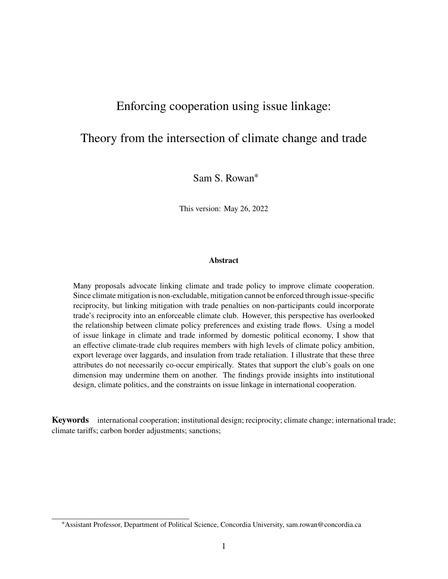# Enforcing cooperation using issue linkage:

# Theory from the intersection of climate change and trade

Sam S. Rowan<sup>∗</sup>

This version: May 26, 2022

#### **Abstract**

Many proposals advocate linking climate and trade policy to improve climate cooperation. Since climate mitigation is non-excludable, mitigation cannot be enforced through issue-specific reciprocity, but linking mitigation with trade penalties on non-participants could incorporate trade's reciprocity into an enforceable climate club. However, this perspective has overlooked the relationship between climate policy preferences and existing trade flows. Using a model of issue linkage in climate and trade informed by domestic political economy, I show that an effective climate-trade club requires members with high levels of climate policy ambition, export leverage over laggards, and insulation from trade retaliation. I illustrate that these three attributes do not necessarily co-occur empirically. States that support the club's goals on one dimension may undermine them on another. The findings provide insights into institutional design, climate politics, and the constraints on issue linkage in international cooperation.

**Keywords** international cooperation; institutional design; reciprocity; climate change; international trade; climate tariffs; carbon border adjustments; sanctions;

<sup>∗</sup>Assistant Professor, Department of Political Science, Concordia University, sam.rowan@concordia.ca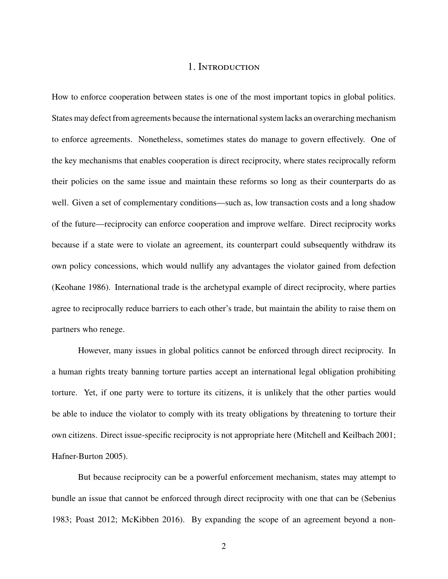## 1. Introduction

How to enforce cooperation between states is one of the most important topics in global politics. States may defect from agreements because the international system lacks an overarching mechanism to enforce agreements. Nonetheless, sometimes states do manage to govern effectively. One of the key mechanisms that enables cooperation is direct reciprocity, where states reciprocally reform their policies on the same issue and maintain these reforms so long as their counterparts do as well. Given a set of complementary conditions—such as, low transaction costs and a long shadow of the future—reciprocity can enforce cooperation and improve welfare. Direct reciprocity works because if a state were to violate an agreement, its counterpart could subsequently withdraw its own policy concessions, which would nullify any advantages the violator gained from defection (Keohane [1986\)](#page-38-0). International trade is the archetypal example of direct reciprocity, where parties agree to reciprocally reduce barriers to each other's trade, but maintain the ability to raise them on partners who renege.

However, many issues in global politics cannot be enforced through direct reciprocity. In a human rights treaty banning torture parties accept an international legal obligation prohibiting torture. Yet, if one party were to torture its citizens, it is unlikely that the other parties would be able to induce the violator to comply with its treaty obligations by threatening to torture their own citizens. Direct issue-specific reciprocity is not appropriate here (Mitchell and Keilbach [2001;](#page-39-0) Hafner-Burton [2005\)](#page-37-0).

But because reciprocity can be a powerful enforcement mechanism, states may attempt to bundle an issue that cannot be enforced through direct reciprocity with one that can be (Sebenius [1983;](#page-39-1) Poast [2012;](#page-39-2) McKibben [2016\)](#page-38-1). By expanding the scope of an agreement beyond a non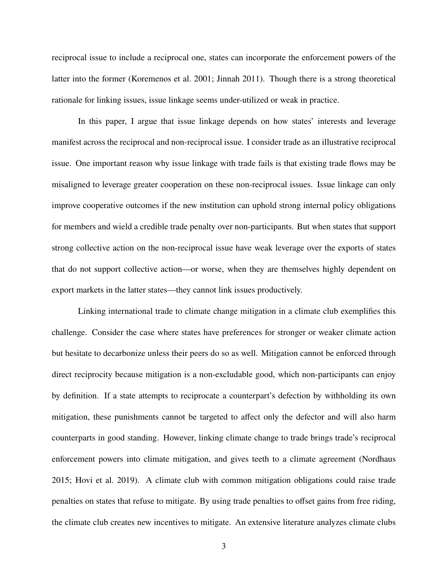reciprocal issue to include a reciprocal one, states can incorporate the enforcement powers of the latter into the former (Koremenos et al. [2001;](#page-38-2) Jinnah [2011\)](#page-38-3). Though there is a strong theoretical rationale for linking issues, issue linkage seems under-utilized or weak in practice.

In this paper, I argue that issue linkage depends on how states' interests and leverage manifest across the reciprocal and non-reciprocal issue. I consider trade as an illustrative reciprocal issue. One important reason why issue linkage with trade fails is that existing trade flows may be misaligned to leverage greater cooperation on these non-reciprocal issues. Issue linkage can only improve cooperative outcomes if the new institution can uphold strong internal policy obligations for members and wield a credible trade penalty over non-participants. But when states that support strong collective action on the non-reciprocal issue have weak leverage over the exports of states that do not support collective action—or worse, when they are themselves highly dependent on export markets in the latter states—they cannot link issues productively.

Linking international trade to climate change mitigation in a climate club exemplifies this challenge. Consider the case where states have preferences for stronger or weaker climate action but hesitate to decarbonize unless their peers do so as well. Mitigation cannot be enforced through direct reciprocity because mitigation is a non-excludable good, which non-participants can enjoy by definition. If a state attempts to reciprocate a counterpart's defection by withholding its own mitigation, these punishments cannot be targeted to affect only the defector and will also harm counterparts in good standing. However, linking climate change to trade brings trade's reciprocal enforcement powers into climate mitigation, and gives teeth to a climate agreement (Nordhaus [2015;](#page-39-3) Hovi et al. [2019\)](#page-38-4). A climate club with common mitigation obligations could raise trade penalties on states that refuse to mitigate. By using trade penalties to offset gains from free riding, the climate club creates new incentives to mitigate. An extensive literature analyzes climate clubs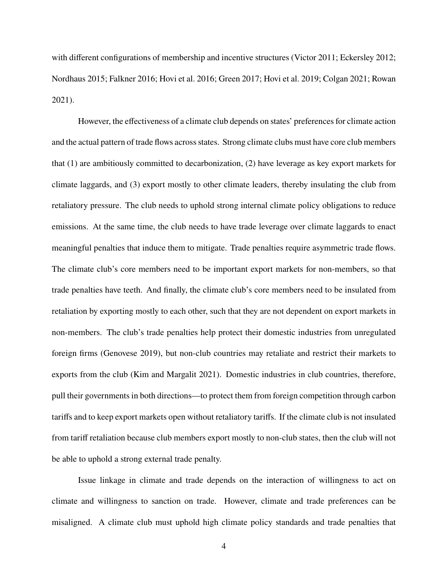with different configurations of membership and incentive structures (Victor [2011;](#page-40-0) Eckersley [2012;](#page-37-1) Nordhaus [2015;](#page-39-3) Falkner [2016;](#page-37-2) Hovi et al. [2016;](#page-38-5) Green [2017;](#page-37-3) Hovi et al. [2019;](#page-38-4) Colgan [2021;](#page-36-0) Rowan [2021\)](#page-39-4).

However, the effectiveness of a climate club depends on states' preferences for climate action and the actual pattern of trade flows across states. Strong climate clubs must have core club members that (1) are ambitiously committed to decarbonization, (2) have leverage as key export markets for climate laggards, and (3) export mostly to other climate leaders, thereby insulating the club from retaliatory pressure. The club needs to uphold strong internal climate policy obligations to reduce emissions. At the same time, the club needs to have trade leverage over climate laggards to enact meaningful penalties that induce them to mitigate. Trade penalties require asymmetric trade flows. The climate club's core members need to be important export markets for non-members, so that trade penalties have teeth. And finally, the climate club's core members need to be insulated from retaliation by exporting mostly to each other, such that they are not dependent on export markets in non-members. The club's trade penalties help protect their domestic industries from unregulated foreign firms (Genovese [2019\)](#page-37-4), but non-club countries may retaliate and restrict their markets to exports from the club (Kim and Margalit [2021\)](#page-38-6). Domestic industries in club countries, therefore, pull their governments in both directions—to protect them from foreign competition through carbon tariffs and to keep export markets open without retaliatory tariffs. If the climate club is not insulated from tariff retaliation because club members export mostly to non-club states, then the club will not be able to uphold a strong external trade penalty.

Issue linkage in climate and trade depends on the interaction of willingness to act on climate and willingness to sanction on trade. However, climate and trade preferences can be misaligned. A climate club must uphold high climate policy standards and trade penalties that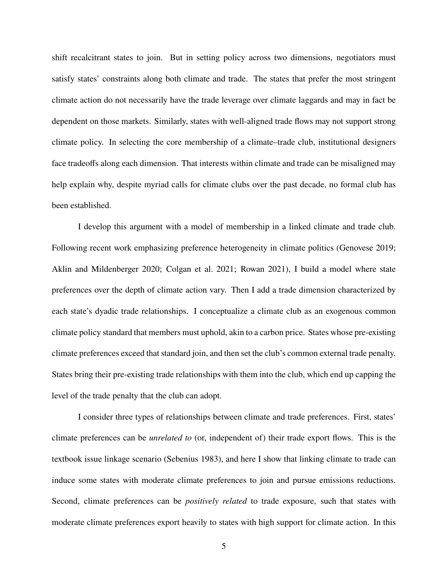shift recalcitrant states to join. But in setting policy across two dimensions, negotiators must satisfy states' constraints along both climate and trade. The states that prefer the most stringent climate action do not necessarily have the trade leverage over climate laggards and may in fact be dependent on those markets. Similarly, states with well-aligned trade flows may not support strong climate policy. In selecting the core membership of a climate–trade club, institutional designers face tradeoffs along each dimension. That interests within climate and trade can be misaligned may help explain why, despite myriad calls for climate clubs over the past decade, no formal club has been established.

I develop this argument with a model of membership in a linked climate and trade club. Following recent work emphasizing preference heterogeneity in climate politics (Genovese [2019;](#page-37-4) Aklin and Mildenberger [2020;](#page-36-1) Colgan et al. [2021;](#page-36-2) Rowan [2021\)](#page-39-4), I build a model where state preferences over the depth of climate action vary. Then I add a trade dimension characterized by each state's dyadic trade relationships. I conceptualize a climate club as an exogenous common climate policy standard that members must uphold, akin to a carbon price. States whose pre-existing climate preferences exceed that standard join, and then set the club's common external trade penalty. States bring their pre-existing trade relationships with them into the club, which end up capping the level of the trade penalty that the club can adopt.

I consider three types of relationships between climate and trade preferences. First, states' climate preferences can be *unrelated to* (or, independent of) their trade export flows. This is the textbook issue linkage scenario (Sebenius [1983\)](#page-39-1), and here I show that linking climate to trade can induce some states with moderate climate preferences to join and pursue emissions reductions. Second, climate preferences can be *positively related* to trade exposure, such that states with moderate climate preferences export heavily to states with high support for climate action. In this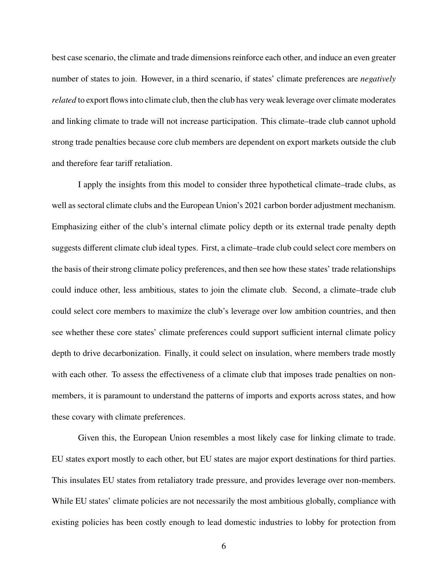best case scenario, the climate and trade dimensions reinforce each other, and induce an even greater number of states to join. However, in a third scenario, if states' climate preferences are *negatively related* to export flows into climate club, then the club has very weak leverage over climate moderates and linking climate to trade will not increase participation. This climate–trade club cannot uphold strong trade penalties because core club members are dependent on export markets outside the club and therefore fear tariff retaliation.

I apply the insights from this model to consider three hypothetical climate–trade clubs, as well as sectoral climate clubs and the European Union's 2021 carbon border adjustment mechanism. Emphasizing either of the club's internal climate policy depth or its external trade penalty depth suggests different climate club ideal types. First, a climate–trade club could select core members on the basis of their strong climate policy preferences, and then see how these states' trade relationships could induce other, less ambitious, states to join the climate club. Second, a climate–trade club could select core members to maximize the club's leverage over low ambition countries, and then see whether these core states' climate preferences could support sufficient internal climate policy depth to drive decarbonization. Finally, it could select on insulation, where members trade mostly with each other. To assess the effectiveness of a climate club that imposes trade penalties on nonmembers, it is paramount to understand the patterns of imports and exports across states, and how these covary with climate preferences.

Given this, the European Union resembles a most likely case for linking climate to trade. EU states export mostly to each other, but EU states are major export destinations for third parties. This insulates EU states from retaliatory trade pressure, and provides leverage over non-members. While EU states' climate policies are not necessarily the most ambitious globally, compliance with existing policies has been costly enough to lead domestic industries to lobby for protection from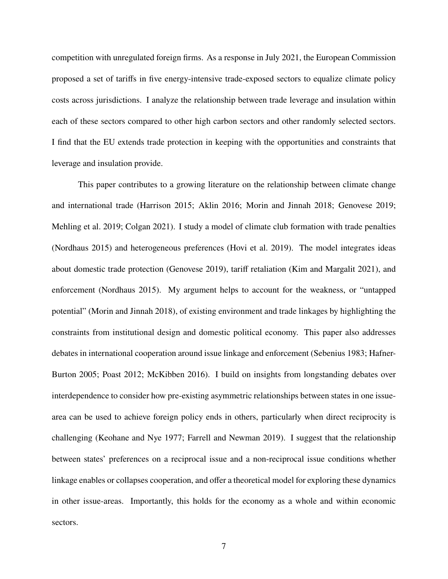competition with unregulated foreign firms. As a response in July 2021, the European Commission proposed a set of tariffs in five energy-intensive trade-exposed sectors to equalize climate policy costs across jurisdictions. I analyze the relationship between trade leverage and insulation within each of these sectors compared to other high carbon sectors and other randomly selected sectors. I find that the EU extends trade protection in keeping with the opportunities and constraints that leverage and insulation provide.

This paper contributes to a growing literature on the relationship between climate change and international trade (Harrison [2015;](#page-37-5) Aklin [2016;](#page-36-3) Morin and Jinnah [2018;](#page-39-5) Genovese [2019;](#page-37-4) Mehling et al. [2019;](#page-38-7) Colgan [2021\)](#page-36-0). I study a model of climate club formation with trade penalties (Nordhaus [2015\)](#page-39-3) and heterogeneous preferences (Hovi et al. [2019\)](#page-38-4). The model integrates ideas about domestic trade protection (Genovese [2019\)](#page-37-4), tariff retaliation (Kim and Margalit [2021\)](#page-38-6), and enforcement (Nordhaus [2015\)](#page-39-3). My argument helps to account for the weakness, or "untapped potential" (Morin and Jinnah [2018\)](#page-39-5), of existing environment and trade linkages by highlighting the constraints from institutional design and domestic political economy. This paper also addresses debates in international cooperation around issue linkage and enforcement (Sebenius [1983;](#page-39-1) Hafner-Burton [2005;](#page-37-0) Poast [2012;](#page-39-2) McKibben [2016\)](#page-38-1). I build on insights from longstanding debates over interdependence to consider how pre-existing asymmetric relationships between states in one issuearea can be used to achieve foreign policy ends in others, particularly when direct reciprocity is challenging (Keohane and Nye [1977;](#page-38-8) Farrell and Newman [2019\)](#page-37-6). I suggest that the relationship between states' preferences on a reciprocal issue and a non-reciprocal issue conditions whether linkage enables or collapses cooperation, and offer a theoretical model for exploring these dynamics in other issue-areas. Importantly, this holds for the economy as a whole and within economic sectors.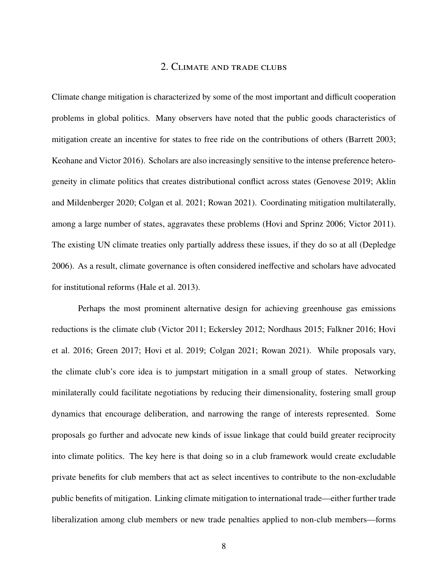### 2. Climate and trade clubs

Climate change mitigation is characterized by some of the most important and difficult cooperation problems in global politics. Many observers have noted that the public goods characteristics of mitigation create an incentive for states to free ride on the contributions of others (Barrett [2003;](#page-36-4) Keohane and Victor [2016\)](#page-38-9). Scholars are also increasingly sensitive to the intense preference heterogeneity in climate politics that creates distributional conflict across states (Genovese [2019;](#page-37-4) Aklin and Mildenberger [2020;](#page-36-1) Colgan et al. [2021;](#page-36-2) Rowan [2021\)](#page-39-4). Coordinating mitigation multilaterally, among a large number of states, aggravates these problems (Hovi and Sprinz [2006;](#page-38-10) Victor [2011\)](#page-40-0). The existing UN climate treaties only partially address these issues, if they do so at all (Depledge [2006\)](#page-36-5). As a result, climate governance is often considered ineffective and scholars have advocated for institutional reforms (Hale et al. [2013\)](#page-37-7).

Perhaps the most prominent alternative design for achieving greenhouse gas emissions reductions is the climate club (Victor [2011;](#page-40-0) Eckersley [2012;](#page-37-1) Nordhaus [2015;](#page-39-3) Falkner [2016;](#page-37-2) Hovi et al. [2016;](#page-38-5) Green [2017;](#page-37-3) Hovi et al. [2019;](#page-38-4) Colgan [2021;](#page-36-0) Rowan [2021\)](#page-39-4). While proposals vary, the climate club's core idea is to jumpstart mitigation in a small group of states. Networking minilaterally could facilitate negotiations by reducing their dimensionality, fostering small group dynamics that encourage deliberation, and narrowing the range of interests represented. Some proposals go further and advocate new kinds of issue linkage that could build greater reciprocity into climate politics. The key here is that doing so in a club framework would create excludable private benefits for club members that act as select incentives to contribute to the non-excludable public benefits of mitigation. Linking climate mitigation to international trade—either further trade liberalization among club members or new trade penalties applied to non-club members—forms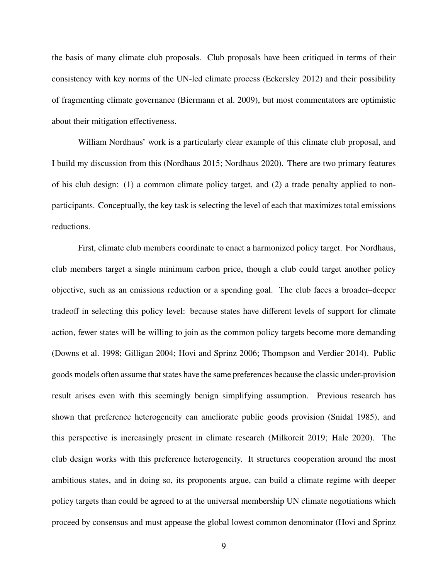the basis of many climate club proposals. Club proposals have been critiqued in terms of their consistency with key norms of the UN-led climate process (Eckersley [2012\)](#page-37-1) and their possibility of fragmenting climate governance (Biermann et al. [2009\)](#page-36-6), but most commentators are optimistic about their mitigation effectiveness.

William Nordhaus' work is a particularly clear example of this climate club proposal, and I build my discussion from this (Nordhaus [2015;](#page-39-3) Nordhaus [2020\)](#page-39-6). There are two primary features of his club design: (1) a common climate policy target, and (2) a trade penalty applied to nonparticipants. Conceptually, the key task is selecting the level of each that maximizes total emissions reductions.

First, climate club members coordinate to enact a harmonized policy target. For Nordhaus, club members target a single minimum carbon price, though a club could target another policy objective, such as an emissions reduction or a spending goal. The club faces a broader–deeper tradeoff in selecting this policy level: because states have different levels of support for climate action, fewer states will be willing to join as the common policy targets become more demanding (Downs et al. [1998;](#page-37-8) Gilligan [2004;](#page-37-9) Hovi and Sprinz [2006;](#page-38-10) Thompson and Verdier [2014\)](#page-40-1). Public goods models often assume that states have the same preferences because the classic under-provision result arises even with this seemingly benign simplifying assumption. Previous research has shown that preference heterogeneity can ameliorate public goods provision (Snidal [1985\)](#page-39-7), and this perspective is increasingly present in climate research (Milkoreit [2019;](#page-39-8) Hale [2020\)](#page-37-10). The club design works with this preference heterogeneity. It structures cooperation around the most ambitious states, and in doing so, its proponents argue, can build a climate regime with deeper policy targets than could be agreed to at the universal membership UN climate negotiations which proceed by consensus and must appease the global lowest common denominator (Hovi and Sprinz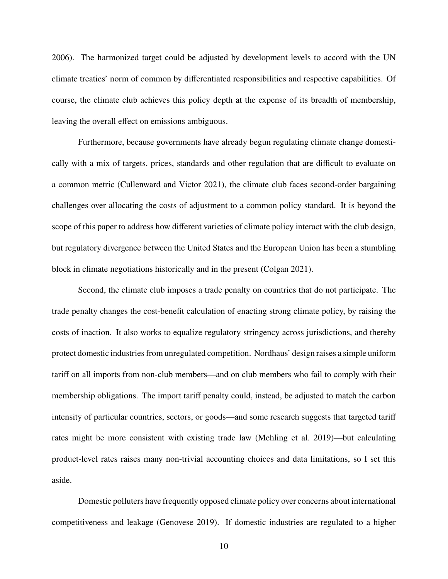[2006\)](#page-38-10). The harmonized target could be adjusted by development levels to accord with the UN climate treaties' norm of common by differentiated responsibilities and respective capabilities. Of course, the climate club achieves this policy depth at the expense of its breadth of membership, leaving the overall effect on emissions ambiguous.

Furthermore, because governments have already begun regulating climate change domestically with a mix of targets, prices, standards and other regulation that are difficult to evaluate on a common metric (Cullenward and Victor [2021\)](#page-36-7), the climate club faces second-order bargaining challenges over allocating the costs of adjustment to a common policy standard. It is beyond the scope of this paper to address how different varieties of climate policy interact with the club design, but regulatory divergence between the United States and the European Union has been a stumbling block in climate negotiations historically and in the present (Colgan [2021\)](#page-36-0).

Second, the climate club imposes a trade penalty on countries that do not participate. The trade penalty changes the cost-benefit calculation of enacting strong climate policy, by raising the costs of inaction. It also works to equalize regulatory stringency across jurisdictions, and thereby protect domestic industries from unregulated competition. Nordhaus' design raises a simple uniform tariff on all imports from non-club members—and on club members who fail to comply with their membership obligations. The import tariff penalty could, instead, be adjusted to match the carbon intensity of particular countries, sectors, or goods—and some research suggests that targeted tariff rates might be more consistent with existing trade law (Mehling et al. [2019\)](#page-38-7)—but calculating product-level rates raises many non-trivial accounting choices and data limitations, so I set this aside.

Domestic polluters have frequently opposed climate policy over concerns about international competitiveness and leakage (Genovese [2019\)](#page-37-4). If domestic industries are regulated to a higher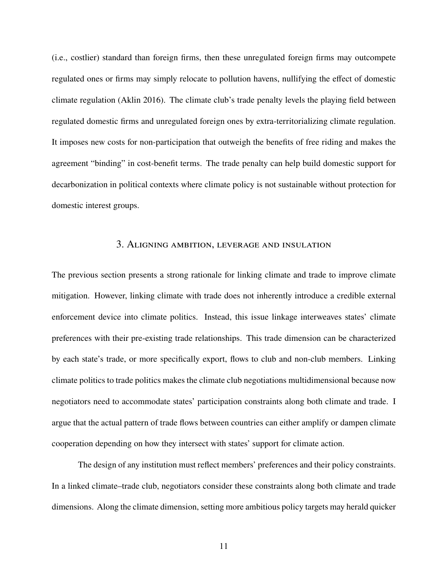(i.e., costlier) standard than foreign firms, then these unregulated foreign firms may outcompete regulated ones or firms may simply relocate to pollution havens, nullifying the effect of domestic climate regulation (Aklin [2016\)](#page-36-3). The climate club's trade penalty levels the playing field between regulated domestic firms and unregulated foreign ones by extra-territorializing climate regulation. It imposes new costs for non-participation that outweigh the benefits of free riding and makes the agreement "binding" in cost-benefit terms. The trade penalty can help build domestic support for decarbonization in political contexts where climate policy is not sustainable without protection for domestic interest groups.

#### 3. Aligning ambition, leverage and insulation

The previous section presents a strong rationale for linking climate and trade to improve climate mitigation. However, linking climate with trade does not inherently introduce a credible external enforcement device into climate politics. Instead, this issue linkage interweaves states' climate preferences with their pre-existing trade relationships. This trade dimension can be characterized by each state's trade, or more specifically export, flows to club and non-club members. Linking climate politics to trade politics makes the climate club negotiations multidimensional because now negotiators need to accommodate states' participation constraints along both climate and trade. I argue that the actual pattern of trade flows between countries can either amplify or dampen climate cooperation depending on how they intersect with states' support for climate action.

The design of any institution must reflect members' preferences and their policy constraints. In a linked climate–trade club, negotiators consider these constraints along both climate and trade dimensions. Along the climate dimension, setting more ambitious policy targets may herald quicker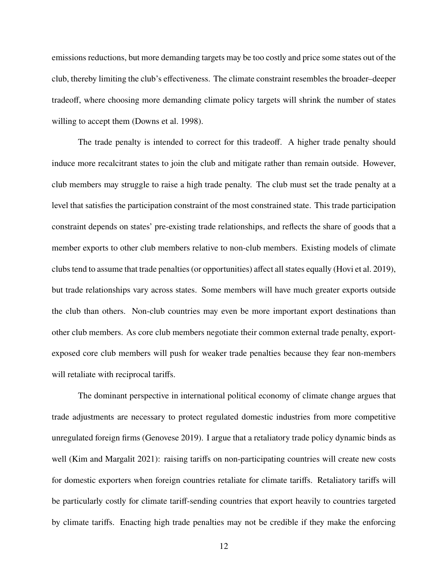emissions reductions, but more demanding targets may be too costly and price some states out of the club, thereby limiting the club's effectiveness. The climate constraint resembles the broader–deeper tradeoff, where choosing more demanding climate policy targets will shrink the number of states willing to accept them (Downs et al. [1998\)](#page-37-8).

The trade penalty is intended to correct for this tradeoff. A higher trade penalty should induce more recalcitrant states to join the club and mitigate rather than remain outside. However, club members may struggle to raise a high trade penalty. The club must set the trade penalty at a level that satisfies the participation constraint of the most constrained state. This trade participation constraint depends on states' pre-existing trade relationships, and reflects the share of goods that a member exports to other club members relative to non-club members. Existing models of climate clubs tend to assume that trade penalties (or opportunities) affect all states equally (Hovi et al. [2019\)](#page-38-4), but trade relationships vary across states. Some members will have much greater exports outside the club than others. Non-club countries may even be more important export destinations than other club members. As core club members negotiate their common external trade penalty, exportexposed core club members will push for weaker trade penalties because they fear non-members will retaliate with reciprocal tariffs.

The dominant perspective in international political economy of climate change argues that trade adjustments are necessary to protect regulated domestic industries from more competitive unregulated foreign firms (Genovese [2019\)](#page-37-4). I argue that a retaliatory trade policy dynamic binds as well (Kim and Margalit [2021\)](#page-38-6): raising tariffs on non-participating countries will create new costs for domestic exporters when foreign countries retaliate for climate tariffs. Retaliatory tariffs will be particularly costly for climate tariff-sending countries that export heavily to countries targeted by climate tariffs. Enacting high trade penalties may not be credible if they make the enforcing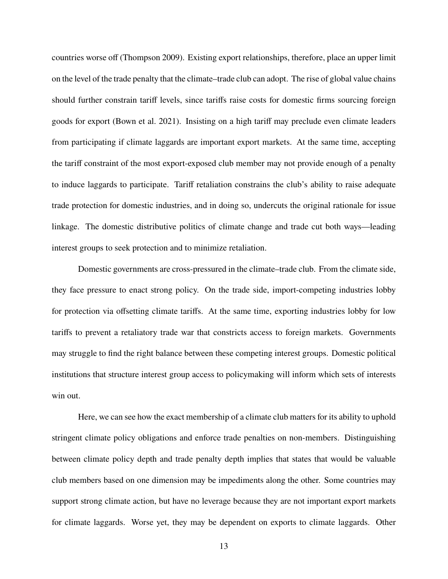countries worse off (Thompson [2009\)](#page-39-9). Existing export relationships, therefore, place an upper limit on the level of the trade penalty that the climate–trade club can adopt. The rise of global value chains should further constrain tariff levels, since tariffs raise costs for domestic firms sourcing foreign goods for export (Bown et al. [2021\)](#page-36-8). Insisting on a high tariff may preclude even climate leaders from participating if climate laggards are important export markets. At the same time, accepting the tariff constraint of the most export-exposed club member may not provide enough of a penalty to induce laggards to participate. Tariff retaliation constrains the club's ability to raise adequate trade protection for domestic industries, and in doing so, undercuts the original rationale for issue linkage. The domestic distributive politics of climate change and trade cut both ways—leading interest groups to seek protection and to minimize retaliation.

Domestic governments are cross-pressured in the climate–trade club. From the climate side, they face pressure to enact strong policy. On the trade side, import-competing industries lobby for protection via offsetting climate tariffs. At the same time, exporting industries lobby for low tariffs to prevent a retaliatory trade war that constricts access to foreign markets. Governments may struggle to find the right balance between these competing interest groups. Domestic political institutions that structure interest group access to policymaking will inform which sets of interests win out.

Here, we can see how the exact membership of a climate club matters for its ability to uphold stringent climate policy obligations and enforce trade penalties on non-members. Distinguishing between climate policy depth and trade penalty depth implies that states that would be valuable club members based on one dimension may be impediments along the other. Some countries may support strong climate action, but have no leverage because they are not important export markets for climate laggards. Worse yet, they may be dependent on exports to climate laggards. Other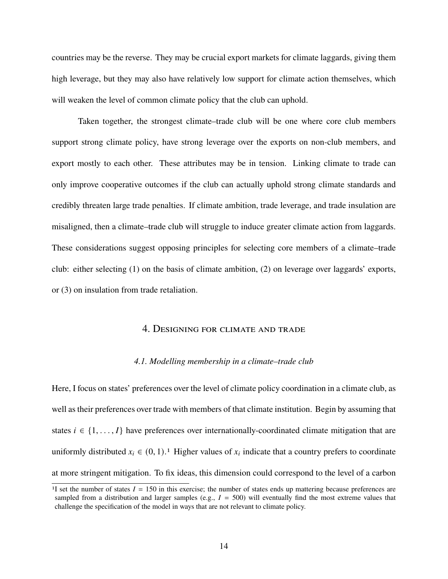countries may be the reverse. They may be crucial export markets for climate laggards, giving them high leverage, but they may also have relatively low support for climate action themselves, which will weaken the level of common climate policy that the club can uphold.

Taken together, the strongest climate–trade club will be one where core club members support strong climate policy, have strong leverage over the exports on non-club members, and export mostly to each other. These attributes may be in tension. Linking climate to trade can only improve cooperative outcomes if the club can actually uphold strong climate standards and credibly threaten large trade penalties. If climate ambition, trade leverage, and trade insulation are misaligned, then a climate–trade club will struggle to induce greater climate action from laggards. These considerations suggest opposing principles for selecting core members of a climate–trade club: either selecting (1) on the basis of climate ambition, (2) on leverage over laggards' exports, or (3) on insulation from trade retaliation.

## 4. Designing for climate and trade

#### *4.1. Modelling membership in a climate–trade club*

Here, I focus on states' preferences over the level of climate policy coordination in a climate club, as well as their preferences over trade with members of that climate institution. Begin by assuming that states  $i \in \{1, \ldots, I\}$  have preferences over internationally-coordinated climate mitigation that are uniformly distributed  $x_i \in (0, 1)$  $x_i \in (0, 1)$  $x_i \in (0, 1)$ .<sup>1</sup> Higher values of  $x_i$  indicate that a country prefers to coordinate at more stringent mitigation. To fix ideas, this dimension could correspond to the level of a carbon

<span id="page-13-0"></span><sup>&</sup>lt;sup>1</sup>I set the number of states  $I = 150$  in this exercise; the number of states ends up mattering because preferences are sampled from a distribution and larger samples (e.g.,  $I = 500$ ) will eventually find the most extreme values that challenge the specification of the model in ways that are not relevant to climate policy.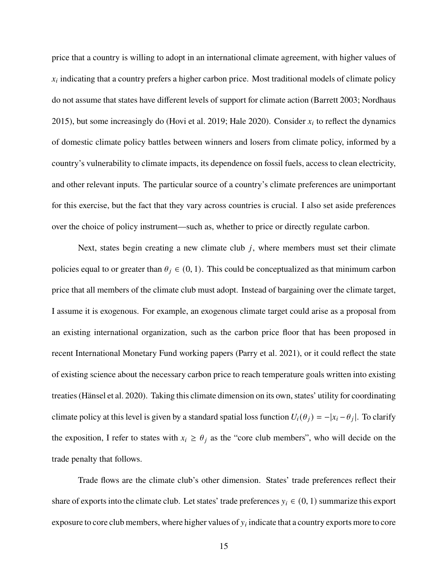price that a country is willing to adopt in an international climate agreement, with higher values of  $x_i$  indicating that a country prefers a higher carbon price. Most traditional models of climate policy do not assume that states have different levels of support for climate action (Barrett [2003;](#page-36-4) Nordhaus [2015\)](#page-39-3), but some increasingly do (Hovi et al. [2019;](#page-38-4) Hale [2020\)](#page-37-10). Consider  $x_i$  to reflect the dynamics of domestic climate policy battles between winners and losers from climate policy, informed by a country's vulnerability to climate impacts, its dependence on fossil fuels, access to clean electricity, and other relevant inputs. The particular source of a country's climate preferences are unimportant for this exercise, but the fact that they vary across countries is crucial. I also set aside preferences over the choice of policy instrument—such as, whether to price or directly regulate carbon.

Next, states begin creating a new climate club  $j$ , where members must set their climate policies equal to or greater than  $\theta_i \in (0, 1)$ . This could be conceptualized as that minimum carbon price that all members of the climate club must adopt. Instead of bargaining over the climate target, I assume it is exogenous. For example, an exogenous climate target could arise as a proposal from an existing international organization, such as the carbon price floor that has been proposed in recent International Monetary Fund working papers (Parry et al. [2021\)](#page-39-10), or it could reflect the state of existing science about the necessary carbon price to reach temperature goals written into existing treaties (Hänsel et al. [2020\)](#page-37-11). Taking this climate dimension on its own, states' utility for coordinating climate policy at this level is given by a standard spatial loss function  $U_i(\theta_j) = -|x_i - \theta_j|$ . To clarify the exposition, I refer to states with  $x_i \ge \theta_j$  as the "core club members", who will decide on the trade penalty that follows.

Trade flows are the climate club's other dimension. States' trade preferences reflect their share of exports into the climate club. Let states' trade preferences  $y_i \in (0, 1)$  summarize this export exposure to core club members, where higher values of  $y_i$  indicate that a country exports more to core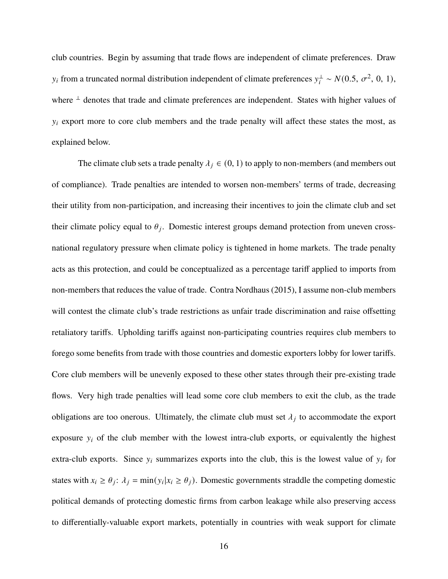club countries. Begin by assuming that trade flows are independent of climate preferences. Draw  $y_i$  from a truncated normal distribution independent of climate preferences  $y_i^{\perp} \sim N(0.5, \sigma^2, 0, 1)$ , where  $\perp$  denotes that trade and climate preferences are independent. States with higher values of  $y_i$  export more to core club members and the trade penalty will affect these states the most, as explained below.

The climate club sets a trade penalty  $\lambda_i \in (0, 1)$  to apply to non-members (and members out of compliance). Trade penalties are intended to worsen non-members' terms of trade, decreasing their utility from non-participation, and increasing their incentives to join the climate club and set their climate policy equal to  $\theta_i$ . Domestic interest groups demand protection from uneven crossnational regulatory pressure when climate policy is tightened in home markets. The trade penalty acts as this protection, and could be conceptualized as a percentage tariff applied to imports from non-members that reduces the value of trade. Contra Nordhaus [\(2015\)](#page-39-3), I assume non-club members will contest the climate club's trade restrictions as unfair trade discrimination and raise offsetting retaliatory tariffs. Upholding tariffs against non-participating countries requires club members to forego some benefits from trade with those countries and domestic exporters lobby for lower tariffs. Core club members will be unevenly exposed to these other states through their pre-existing trade flows. Very high trade penalties will lead some core club members to exit the club, as the trade obligations are too onerous. Ultimately, the climate club must set  $\lambda_j$  to accommodate the export exposure  $y_i$  of the club member with the lowest intra-club exports, or equivalently the highest extra-club exports. Since  $y_i$  summarizes exports into the club, this is the lowest value of  $y_i$  for states with  $x_i \ge \theta_i$ :  $\lambda_i = \min(y_i | x_i \ge \theta_i)$ . Domestic governments straddle the competing domestic political demands of protecting domestic firms from carbon leakage while also preserving access to differentially-valuable export markets, potentially in countries with weak support for climate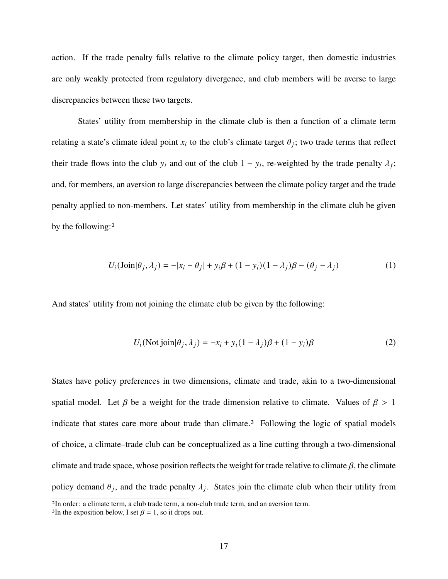action. If the trade penalty falls relative to the climate policy target, then domestic industries are only weakly protected from regulatory divergence, and club members will be averse to large discrepancies between these two targets.

States' utility from membership in the climate club is then a function of a climate term relating a state's climate ideal point  $x_i$  to the club's climate target  $\theta_i$ ; two trade terms that reflect their trade flows into the club  $y_i$  and out of the club  $1 - y_i$ , re-weighted by the trade penalty  $\lambda_i$ ; and, for members, an aversion to large discrepancies between the climate policy target and the trade penalty applied to non-members. Let states' utility from membership in the climate club be given by the following:[2](#page-16-0)

$$
U_i(\text{Join}|\theta_j, \lambda_j) = -|x_i - \theta_j| + y_i \beta + (1 - y_i)(1 - \lambda_j)\beta - (\theta_j - \lambda_j)
$$
(1)

And states' utility from not joining the climate club be given by the following:

$$
U_i(\text{Not join}|\theta_j, \lambda_j) = -x_i + y_i(1 - \lambda_j)\beta + (1 - y_i)\beta \tag{2}
$$

States have policy preferences in two dimensions, climate and trade, akin to a two-dimensional spatial model. Let  $\beta$  be a weight for the trade dimension relative to climate. Values of  $\beta > 1$ indicate that states care more about trade than climate.<sup>[3](#page-16-1)</sup> Following the logic of spatial models of choice, a climate–trade club can be conceptualized as a line cutting through a two-dimensional climate and trade space, whose position reflects the weight for trade relative to climate  $\beta$ , the climate policy demand  $\theta_j$ , and the trade penalty  $\lambda_j$ . States join the climate club when their utility from

<span id="page-16-0"></span><sup>2</sup>In order: a climate term, a club trade term, a non-club trade term, and an aversion term.

<span id="page-16-1"></span><sup>&</sup>lt;sup>3</sup>In the exposition below, I set  $\beta = 1$ , so it drops out.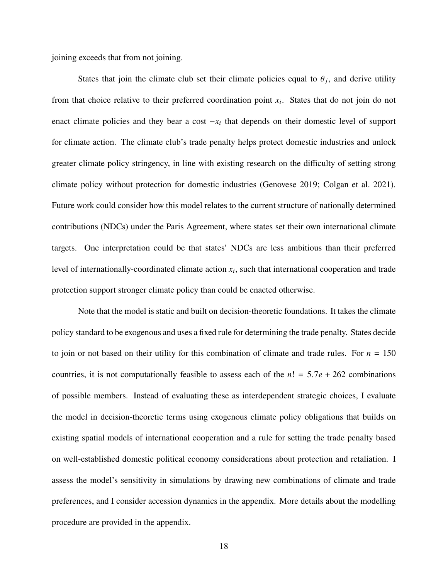joining exceeds that from not joining.

States that join the climate club set their climate policies equal to  $\theta_i$ , and derive utility from that choice relative to their preferred coordination point  $x_i$ . States that do not join do not enact climate policies and they bear a cost  $-x_i$  that depends on their domestic level of support for climate action. The climate club's trade penalty helps protect domestic industries and unlock greater climate policy stringency, in line with existing research on the difficulty of setting strong climate policy without protection for domestic industries (Genovese [2019;](#page-37-4) Colgan et al. [2021\)](#page-36-2). Future work could consider how this model relates to the current structure of nationally determined contributions (NDCs) under the Paris Agreement, where states set their own international climate targets. One interpretation could be that states' NDCs are less ambitious than their preferred level of internationally-coordinated climate action  $x_i$ , such that international cooperation and trade protection support stronger climate policy than could be enacted otherwise.

Note that the model is static and built on decision-theoretic foundations. It takes the climate policy standard to be exogenous and uses a fixed rule for determining the trade penalty. States decide to join or not based on their utility for this combination of climate and trade rules. For  $n = 150$ countries, it is not computationally feasible to assess each of the  $n! = 5.7e + 262$  combinations of possible members. Instead of evaluating these as interdependent strategic choices, I evaluate the model in decision-theoretic terms using exogenous climate policy obligations that builds on existing spatial models of international cooperation and a rule for setting the trade penalty based on well-established domestic political economy considerations about protection and retaliation. I assess the model's sensitivity in simulations by drawing new combinations of climate and trade preferences, and I consider accession dynamics in the appendix. More details about the modelling procedure are provided in the appendix.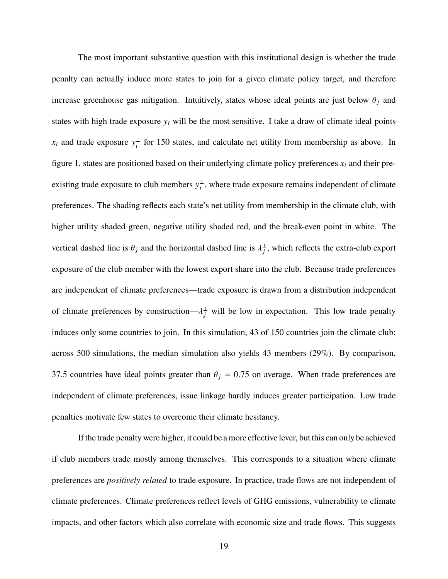The most important substantive question with this institutional design is whether the trade penalty can actually induce more states to join for a given climate policy target, and therefore increase greenhouse gas mitigation. Intuitively, states whose ideal points are just below  $\theta_i$  and states with high trade exposure  $y_i$  will be the most sensitive. I take a draw of climate ideal points  $x_i$  and trade exposure  $y_i^{\perp}$  for 150 states, and calculate net utility from membership as above. In figure [1,](#page-19-0) states are positioned based on their underlying climate policy preferences  $x_i$  and their preexisting trade exposure to club members  $y_i^{\perp}$ , where trade exposure remains independent of climate preferences. The shading reflects each state's net utility from membership in the climate club, with higher utility shaded green, negative utility shaded red, and the break-even point in white. The vertical dashed line is  $\theta_j$  and the horizontal dashed line is  $\lambda_j^{\perp}$ , which reflects the extra-club export exposure of the club member with the lowest export share into the club. Because trade preferences are independent of climate preferences—trade exposure is drawn from a distribution independent of climate preferences by construction— $\lambda_i^{\perp}$  will be low in expectation. This low trade penalty induces only some countries to join. In this simulation, 43 of 150 countries join the climate club; across 500 simulations, the median simulation also yields 43 members (29%). By comparison, 37.5 countries have ideal points greater than  $\theta_i = 0.75$  on average. When trade preferences are independent of climate preferences, issue linkage hardly induces greater participation. Low trade penalties motivate few states to overcome their climate hesitancy.

If the trade penalty were higher, it could be a more effective lever, but this can only be achieved if club members trade mostly among themselves. This corresponds to a situation where climate preferences are *positively related* to trade exposure. In practice, trade flows are not independent of climate preferences. Climate preferences reflect levels of GHG emissions, vulnerability to climate impacts, and other factors which also correlate with economic size and trade flows. This suggests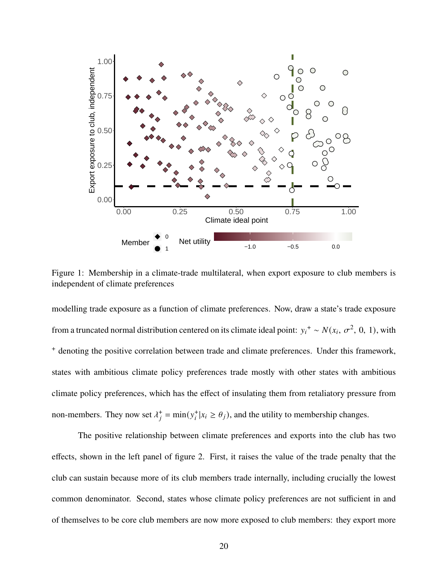

<span id="page-19-0"></span>Figure 1: Membership in a climate-trade multilateral, when export exposure to club members is independent of climate preferences

modelling trade exposure as a function of climate preferences. Now, draw a state's trade exposure from a truncated normal distribution centered on its climate ideal point:  $y_i^+ \sim N(x_i, \sigma^2, 0, 1)$ , with <sup>+</sup> denoting the positive correlation between trade and climate preferences. Under this framework, states with ambitious climate policy preferences trade mostly with other states with ambitious climate policy preferences, which has the effect of insulating them from retaliatory pressure from non-members. They now set  $\lambda_i^+ = \min(y_i^+ | x_i \ge \theta_j)$ , and the utility to membership changes.

The positive relationship between climate preferences and exports into the club has two effects, shown in the left panel of figure [2.](#page-20-0) First, it raises the value of the trade penalty that the club can sustain because more of its club members trade internally, including crucially the lowest common denominator. Second, states whose climate policy preferences are not sufficient in and of themselves to be core club members are now more exposed to club members: they export more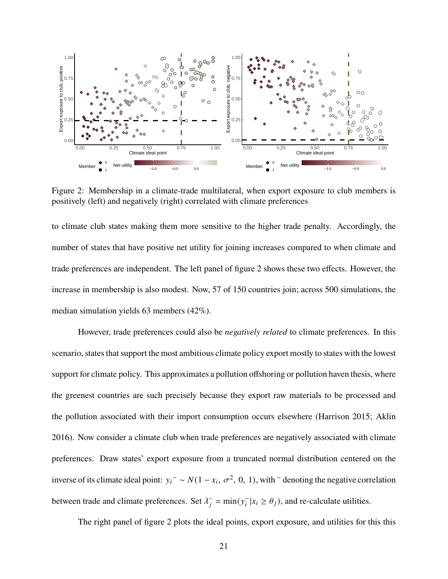

<span id="page-20-0"></span>Figure 2: Membership in a climate-trade multilateral, when export exposure to club members is positively (left) and negatively (right) correlated with climate preferences

to climate club states making them more sensitive to the higher trade penalty. Accordingly, the number of states that have positive net utility for joining increases compared to when climate and trade preferences are independent. The left panel of figure [2](#page-20-0) shows these two effects. However, the increase in membership is also modest. Now, 57 of 150 countries join; across 500 simulations, the median simulation yields 63 members (42%).

However, trade preferences could also be *negatively related* to climate preferences. In this scenario, states that support the most ambitious climate policy export mostly to states with the lowest support for climate policy. This approximates a pollution offshoring or pollution haven thesis, where the greenest countries are such precisely because they export raw materials to be processed and the pollution associated with their import consumption occurs elsewhere (Harrison [2015;](#page-37-5) Aklin [2016\)](#page-36-3). Now consider a climate club when trade preferences are negatively associated with climate preferences. Draw states' export exposure from a truncated normal distribution centered on the inverse of its climate ideal point:  $y_i^-\sim N(1-x_i, \sigma^2, 0, 1)$ , with  $^-$  denoting the negative correlation between trade and climate preferences. Set  $\lambda_i^- = \min(y_i^- | x_i \ge \theta_j)$ , and re-calculate utilities.

The right panel of figure [2](#page-20-0) plots the ideal points, export exposure, and utilities for this this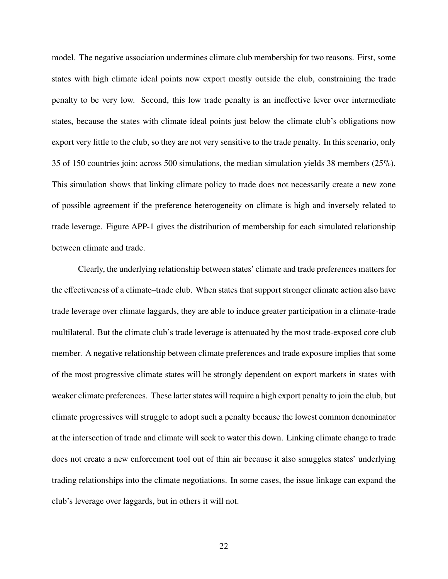model. The negative association undermines climate club membership for two reasons. First, some states with high climate ideal points now export mostly outside the club, constraining the trade penalty to be very low. Second, this low trade penalty is an ineffective lever over intermediate states, because the states with climate ideal points just below the climate club's obligations now export very little to the club, so they are not very sensitive to the trade penalty. In this scenario, only 35 of 150 countries join; across 500 simulations, the median simulation yields 38 members (25%). This simulation shows that linking climate policy to trade does not necessarily create a new zone of possible agreement if the preference heterogeneity on climate is high and inversely related to trade leverage. Figure [APP-1](#page-19-0) gives the distribution of membership for each simulated relationship between climate and trade.

Clearly, the underlying relationship between states' climate and trade preferences matters for the effectiveness of a climate–trade club. When states that support stronger climate action also have trade leverage over climate laggards, they are able to induce greater participation in a climate-trade multilateral. But the climate club's trade leverage is attenuated by the most trade-exposed core club member. A negative relationship between climate preferences and trade exposure implies that some of the most progressive climate states will be strongly dependent on export markets in states with weaker climate preferences. These latter states will require a high export penalty to join the club, but climate progressives will struggle to adopt such a penalty because the lowest common denominator at the intersection of trade and climate will seek to water this down. Linking climate change to trade does not create a new enforcement tool out of thin air because it also smuggles states' underlying trading relationships into the climate negotiations. In some cases, the issue linkage can expand the club's leverage over laggards, but in others it will not.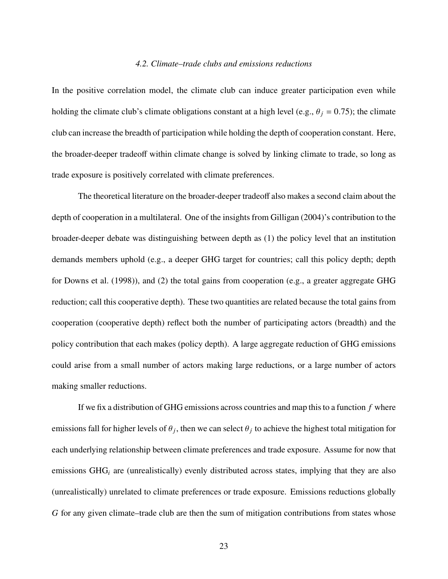#### *4.2. Climate–trade clubs and emissions reductions*

In the positive correlation model, the climate club can induce greater participation even while holding the climate club's climate obligations constant at a high level (e.g.,  $\theta_i = 0.75$ ); the climate club can increase the breadth of participation while holding the depth of cooperation constant. Here, the broader-deeper tradeoff within climate change is solved by linking climate to trade, so long as trade exposure is positively correlated with climate preferences.

The theoretical literature on the broader-deeper tradeoff also makes a second claim about the depth of cooperation in a multilateral. One of the insights from Gilligan [\(2004\)](#page-37-9)'s contribution to the broader-deeper debate was distinguishing between depth as (1) the policy level that an institution demands members uphold (e.g., a deeper GHG target for countries; call this policy depth; depth for Downs et al. [\(1998\)](#page-37-8)), and (2) the total gains from cooperation (e.g., a greater aggregate GHG reduction; call this cooperative depth). These two quantities are related because the total gains from cooperation (cooperative depth) reflect both the number of participating actors (breadth) and the policy contribution that each makes (policy depth). A large aggregate reduction of GHG emissions could arise from a small number of actors making large reductions, or a large number of actors making smaller reductions.

If we fix a distribution of GHG emissions across countries and map this to a function  $f$  where emissions fall for higher levels of  $\theta_i$ , then we can select  $\theta_i$  to achieve the highest total mitigation for each underlying relationship between climate preferences and trade exposure. Assume for now that emissions  $GHG_i$  are (unrealistically) evenly distributed across states, implying that they are also (unrealistically) unrelated to climate preferences or trade exposure. Emissions reductions globally for any given climate–trade club are then the sum of mitigation contributions from states whose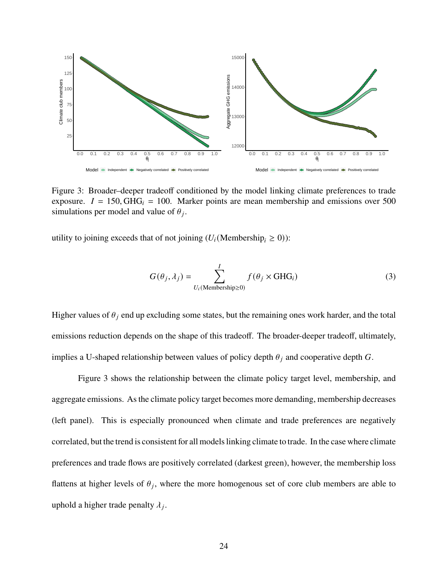

<span id="page-23-0"></span>Figure 3: Broader–deeper tradeoff conditioned by the model linking climate preferences to trade exposure.  $I = 150$ , GHG<sub>i</sub> = 100. Marker points are mean membership and emissions over 500 simulations per model and value of  $\theta_j$ .

utility to joining exceeds that of not joining  $(U_i(\text{Membership}_i \geq 0))$ :

$$
G(\theta_j, \lambda_j) = \sum_{U_i(\text{Membership} \ge 0)}^{I} f(\theta_j \times \text{GHG}_i)
$$
 (3)

Higher values of  $\theta_i$  end up excluding some states, but the remaining ones work harder, and the total emissions reduction depends on the shape of this tradeoff. The broader-deeper tradeoff, ultimately, implies a U-shaped relationship between values of policy depth  $\theta_i$  and cooperative depth G.

Figure [3](#page-23-0) shows the relationship between the climate policy target level, membership, and aggregate emissions. As the climate policy target becomes more demanding, membership decreases (left panel). This is especially pronounced when climate and trade preferences are negatively correlated, but the trend is consistent for all models linking climate to trade. In the case where climate preferences and trade flows are positively correlated (darkest green), however, the membership loss flattens at higher levels of  $\theta_i$ , where the more homogenous set of core club members are able to uphold a higher trade penalty  $\lambda_i$ .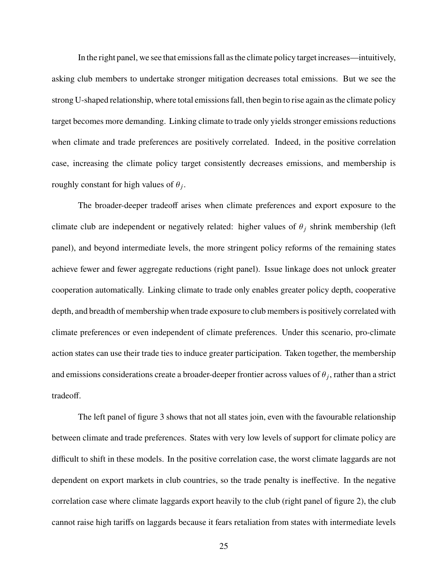In the right panel, we see that emissions fall as the climate policy target increases—intuitively, asking club members to undertake stronger mitigation decreases total emissions. But we see the strong U-shaped relationship, where total emissions fall, then begin to rise again as the climate policy target becomes more demanding. Linking climate to trade only yields stronger emissions reductions when climate and trade preferences are positively correlated. Indeed, in the positive correlation case, increasing the climate policy target consistently decreases emissions, and membership is roughly constant for high values of  $\theta_i$ .

The broader-deeper tradeoff arises when climate preferences and export exposure to the climate club are independent or negatively related: higher values of  $\theta_i$  shrink membership (left panel), and beyond intermediate levels, the more stringent policy reforms of the remaining states achieve fewer and fewer aggregate reductions (right panel). Issue linkage does not unlock greater cooperation automatically. Linking climate to trade only enables greater policy depth, cooperative depth, and breadth of membership when trade exposure to club members is positively correlated with climate preferences or even independent of climate preferences. Under this scenario, pro-climate action states can use their trade ties to induce greater participation. Taken together, the membership and emissions considerations create a broader-deeper frontier across values of  $\theta_j$ , rather than a strict tradeoff.

The left panel of figure [3](#page-23-0) shows that not all states join, even with the favourable relationship between climate and trade preferences. States with very low levels of support for climate policy are difficult to shift in these models. In the positive correlation case, the worst climate laggards are not dependent on export markets in club countries, so the trade penalty is ineffective. In the negative correlation case where climate laggards export heavily to the club (right panel of figure [2\)](#page-20-0), the club cannot raise high tariffs on laggards because it fears retaliation from states with intermediate levels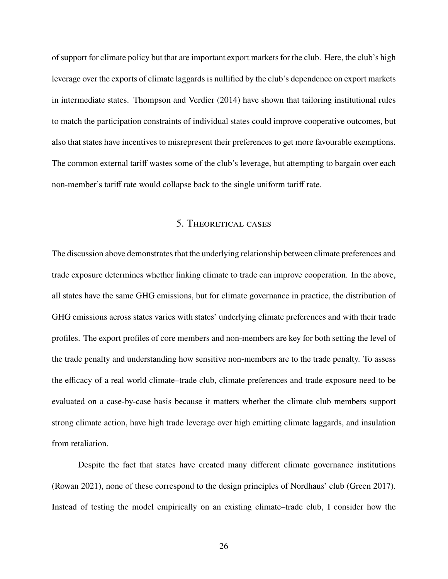of support for climate policy but that are important export markets for the club. Here, the club's high leverage over the exports of climate laggards is nullified by the club's dependence on export markets in intermediate states. Thompson and Verdier [\(2014\)](#page-40-1) have shown that tailoring institutional rules to match the participation constraints of individual states could improve cooperative outcomes, but also that states have incentives to misrepresent their preferences to get more favourable exemptions. The common external tariff wastes some of the club's leverage, but attempting to bargain over each non-member's tariff rate would collapse back to the single uniform tariff rate.

## 5. Theoretical cases

The discussion above demonstrates that the underlying relationship between climate preferences and trade exposure determines whether linking climate to trade can improve cooperation. In the above, all states have the same GHG emissions, but for climate governance in practice, the distribution of GHG emissions across states varies with states' underlying climate preferences and with their trade profiles. The export profiles of core members and non-members are key for both setting the level of the trade penalty and understanding how sensitive non-members are to the trade penalty. To assess the efficacy of a real world climate–trade club, climate preferences and trade exposure need to be evaluated on a case-by-case basis because it matters whether the climate club members support strong climate action, have high trade leverage over high emitting climate laggards, and insulation from retaliation.

Despite the fact that states have created many different climate governance institutions (Rowan [2021\)](#page-39-4), none of these correspond to the design principles of Nordhaus' club (Green [2017\)](#page-37-3). Instead of testing the model empirically on an existing climate–trade club, I consider how the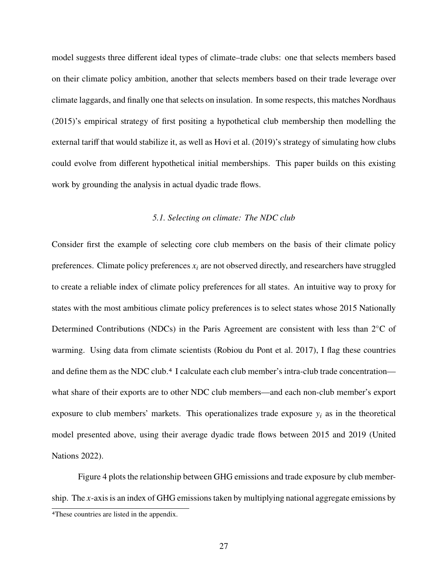model suggests three different ideal types of climate–trade clubs: one that selects members based on their climate policy ambition, another that selects members based on their trade leverage over climate laggards, and finally one that selects on insulation. In some respects, this matches Nordhaus [\(2015\)](#page-39-3)'s empirical strategy of first positing a hypothetical club membership then modelling the external tariff that would stabilize it, as well as Hovi et al. [\(2019\)](#page-38-4)'s strategy of simulating how clubs could evolve from different hypothetical initial memberships. This paper builds on this existing work by grounding the analysis in actual dyadic trade flows.

#### *5.1. Selecting on climate: The NDC club*

Consider first the example of selecting core club members on the basis of their climate policy preferences. Climate policy preferences  $x_i$  are not observed directly, and researchers have struggled to create a reliable index of climate policy preferences for all states. An intuitive way to proxy for states with the most ambitious climate policy preferences is to select states whose 2015 Nationally Determined Contributions (NDCs) in the Paris Agreement are consistent with less than 2℃ of warming. Using data from climate scientists (Robiou du Pont et al. [2017\)](#page-39-11), I flag these countries and define them as the NDC club.[4](#page-26-0) I calculate each club member's intra-club trade concentration what share of their exports are to other NDC club members—and each non-club member's export exposure to club members' markets. This operationalizes trade exposure  $y_i$  as in the theoretical model presented above, using their average dyadic trade flows between 2015 and 2019 (United Nations [2022\)](#page-40-2).

Figure [4](#page-27-0) plots the relationship between GHG emissions and trade exposure by club membership. The x-axis is an index of GHG emissions taken by multiplying national aggregate emissions by

<span id="page-26-0"></span><sup>4</sup>These countries are listed in the appendix.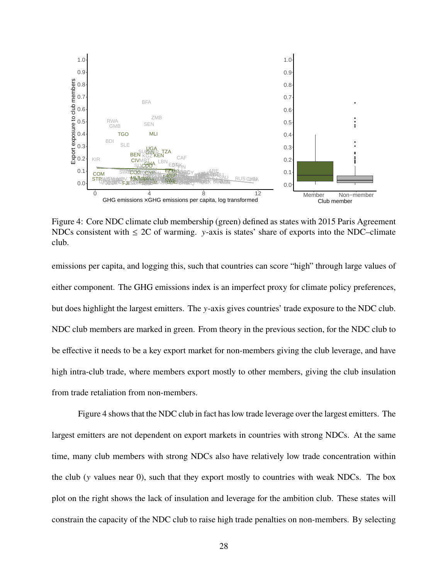

<span id="page-27-0"></span>Figure 4: Core NDC climate club membership (green) defined as states with 2015 Paris Agreement NDCs consistent with  $\leq$  2C of warming. y-axis is states' share of exports into the NDC–climate club.

emissions per capita, and logging this, such that countries can score "high" through large values of either component. The GHG emissions index is an imperfect proxy for climate policy preferences, but does highlight the largest emitters. The  $y$ -axis gives countries' trade exposure to the NDC club. NDC club members are marked in green. From theory in the previous section, for the NDC club to be effective it needs to be a key export market for non-members giving the club leverage, and have high intra-club trade, where members export mostly to other members, giving the club insulation from trade retaliation from non-members.

Figure [4](#page-27-0) shows that the NDC club in fact has low trade leverage over the largest emitters. The largest emitters are not dependent on export markets in countries with strong NDCs. At the same time, many club members with strong NDCs also have relatively low trade concentration within the club ( $y$  values near 0), such that they export mostly to countries with weak NDCs. The box plot on the right shows the lack of insulation and leverage for the ambition club. These states will constrain the capacity of the NDC club to raise high trade penalties on non-members. By selecting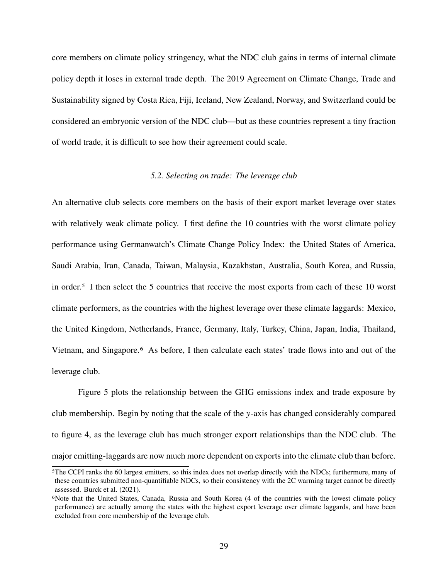core members on climate policy stringency, what the NDC club gains in terms of internal climate policy depth it loses in external trade depth. The 2019 Agreement on Climate Change, Trade and Sustainability signed by Costa Rica, Fiji, Iceland, New Zealand, Norway, and Switzerland could be considered an embryonic version of the NDC club—but as these countries represent a tiny fraction of world trade, it is difficult to see how their agreement could scale.

#### *5.2. Selecting on trade: The leverage club*

An alternative club selects core members on the basis of their export market leverage over states with relatively weak climate policy. I first define the 10 countries with the worst climate policy performance using Germanwatch's Climate Change Policy Index: the United States of America, Saudi Arabia, Iran, Canada, Taiwan, Malaysia, Kazakhstan, Australia, South Korea, and Russia, in order.[5](#page-28-0) I then select the 5 countries that receive the most exports from each of these 10 worst climate performers, as the countries with the highest leverage over these climate laggards: Mexico, the United Kingdom, Netherlands, France, Germany, Italy, Turkey, China, Japan, India, Thailand, Vietnam, and Singapore.[6](#page-28-1) As before, I then calculate each states' trade flows into and out of the leverage club.

Figure [5](#page-29-0) plots the relationship between the GHG emissions index and trade exposure by club membership. Begin by noting that the scale of the  $y$ -axis has changed considerably compared to figure [4,](#page-27-0) as the leverage club has much stronger export relationships than the NDC club. The major emitting-laggards are now much more dependent on exports into the climate club than before.

<span id="page-28-0"></span><sup>5</sup>The CCPI ranks the 60 largest emitters, so this index does not overlap directly with the NDCs; furthermore, many of these countries submitted non-quantifiable NDCs, so their consistency with the 2C warming target cannot be directly assessed. Burck et al. [\(2021\)](#page-36-9).

<span id="page-28-1"></span><sup>6</sup>Note that the United States, Canada, Russia and South Korea (4 of the countries with the lowest climate policy performance) are actually among the states with the highest export leverage over climate laggards, and have been excluded from core membership of the leverage club.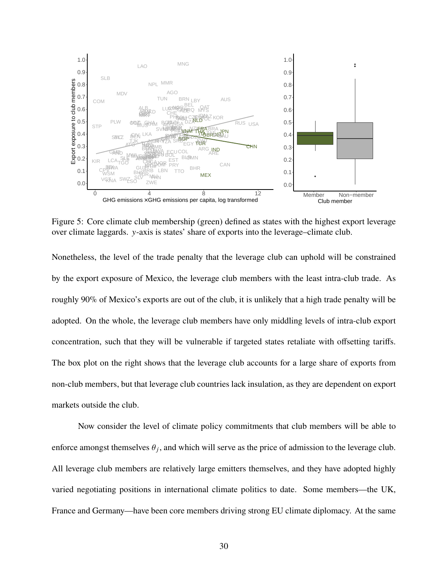

<span id="page-29-0"></span>Figure 5: Core climate club membership (green) defined as states with the highest export leverage over climate laggards. y-axis is states' share of exports into the leverage–climate club.

Nonetheless, the level of the trade penalty that the leverage club can uphold will be constrained by the export exposure of Mexico, the leverage club members with the least intra-club trade. As roughly 90% of Mexico's exports are out of the club, it is unlikely that a high trade penalty will be adopted. On the whole, the leverage club members have only middling levels of intra-club export concentration, such that they will be vulnerable if targeted states retaliate with offsetting tariffs. The box plot on the right shows that the leverage club accounts for a large share of exports from non-club members, but that leverage club countries lack insulation, as they are dependent on export markets outside the club.

Now consider the level of climate policy commitments that club members will be able to enforce amongst themselves  $\theta_i$ , and which will serve as the price of admission to the leverage club. All leverage club members are relatively large emitters themselves, and they have adopted highly varied negotiating positions in international climate politics to date. Some members—the UK, France and Germany—have been core members driving strong EU climate diplomacy. At the same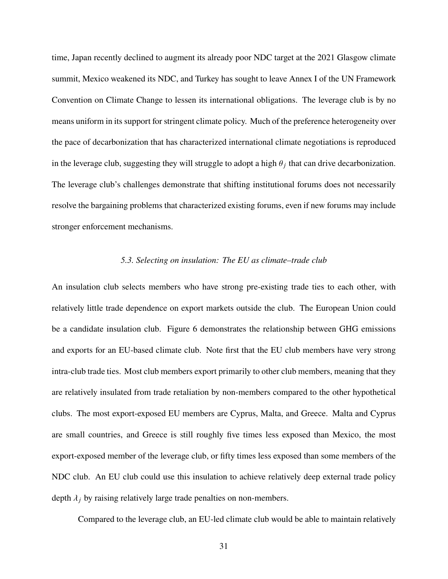time, Japan recently declined to augment its already poor NDC target at the 2021 Glasgow climate summit, Mexico weakened its NDC, and Turkey has sought to leave Annex I of the UN Framework Convention on Climate Change to lessen its international obligations. The leverage club is by no means uniform in its support for stringent climate policy. Much of the preference heterogeneity over the pace of decarbonization that has characterized international climate negotiations is reproduced in the leverage club, suggesting they will struggle to adopt a high  $\theta_i$  that can drive decarbonization. The leverage club's challenges demonstrate that shifting institutional forums does not necessarily resolve the bargaining problems that characterized existing forums, even if new forums may include stronger enforcement mechanisms.

#### *5.3. Selecting on insulation: The EU as climate–trade club*

An insulation club selects members who have strong pre-existing trade ties to each other, with relatively little trade dependence on export markets outside the club. The European Union could be a candidate insulation club. Figure [6](#page-31-0) demonstrates the relationship between GHG emissions and exports for an EU-based climate club. Note first that the EU club members have very strong intra-club trade ties. Most club members export primarily to other club members, meaning that they are relatively insulated from trade retaliation by non-members compared to the other hypothetical clubs. The most export-exposed EU members are Cyprus, Malta, and Greece. Malta and Cyprus are small countries, and Greece is still roughly five times less exposed than Mexico, the most export-exposed member of the leverage club, or fifty times less exposed than some members of the NDC club. An EU club could use this insulation to achieve relatively deep external trade policy depth  $\lambda_i$  by raising relatively large trade penalties on non-members.

Compared to the leverage club, an EU-led climate club would be able to maintain relatively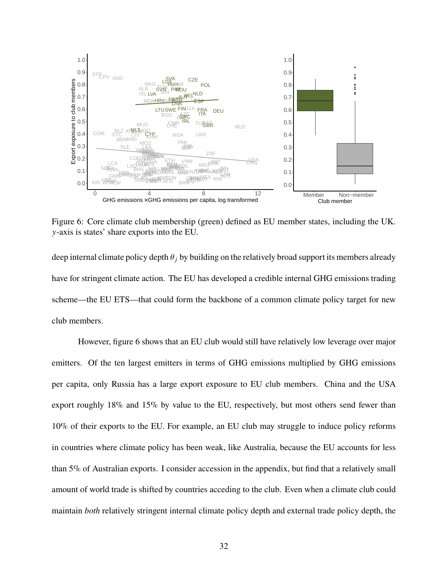

<span id="page-31-0"></span>Figure 6: Core climate club membership (green) defined as EU member states, including the UK. -axis is states' share exports into the EU.

deep internal climate policy depth  $\theta_i$  by building on the relatively broad support its members already have for stringent climate action. The EU has developed a credible internal GHG emissions trading scheme—the EU ETS—that could form the backbone of a common climate policy target for new club members.

However, figure [6](#page-31-0) shows that an EU club would still have relatively low leverage over major emitters. Of the ten largest emitters in terms of GHG emissions multiplied by GHG emissions per capita, only Russia has a large export exposure to EU club members. China and the USA export roughly 18% and 15% by value to the EU, respectively, but most others send fewer than 10% of their exports to the EU. For example, an EU club may struggle to induce policy reforms in countries where climate policy has been weak, like Australia, because the EU accounts for less than 5% of Australian exports. I consider accession in the appendix, but find that a relatively small amount of world trade is shifted by countries acceding to the club. Even when a climate club could maintain *both* relatively stringent internal climate policy depth and external trade policy depth, the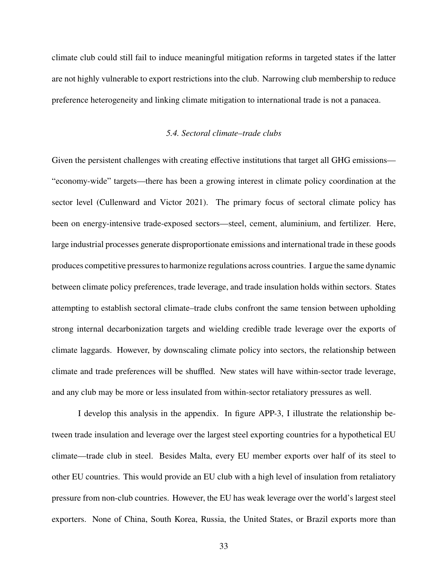climate club could still fail to induce meaningful mitigation reforms in targeted states if the latter are not highly vulnerable to export restrictions into the club. Narrowing club membership to reduce preference heterogeneity and linking climate mitigation to international trade is not a panacea.

#### *5.4. Sectoral climate–trade clubs*

Given the persistent challenges with creating effective institutions that target all GHG emissions— "economy-wide" targets—there has been a growing interest in climate policy coordination at the sector level (Cullenward and Victor [2021\)](#page-36-7). The primary focus of sectoral climate policy has been on energy-intensive trade-exposed sectors—steel, cement, aluminium, and fertilizer. Here, large industrial processes generate disproportionate emissions and international trade in these goods produces competitive pressures to harmonize regulations across countries. I argue the same dynamic between climate policy preferences, trade leverage, and trade insulation holds within sectors. States attempting to establish sectoral climate–trade clubs confront the same tension between upholding strong internal decarbonization targets and wielding credible trade leverage over the exports of climate laggards. However, by downscaling climate policy into sectors, the relationship between climate and trade preferences will be shuffled. New states will have within-sector trade leverage, and any club may be more or less insulated from within-sector retaliatory pressures as well.

I develop this analysis in the appendix. In figure [APP-3,](#page-23-0) I illustrate the relationship between trade insulation and leverage over the largest steel exporting countries for a hypothetical EU climate—trade club in steel. Besides Malta, every EU member exports over half of its steel to other EU countries. This would provide an EU club with a high level of insulation from retaliatory pressure from non-club countries. However, the EU has weak leverage over the world's largest steel exporters. None of China, South Korea, Russia, the United States, or Brazil exports more than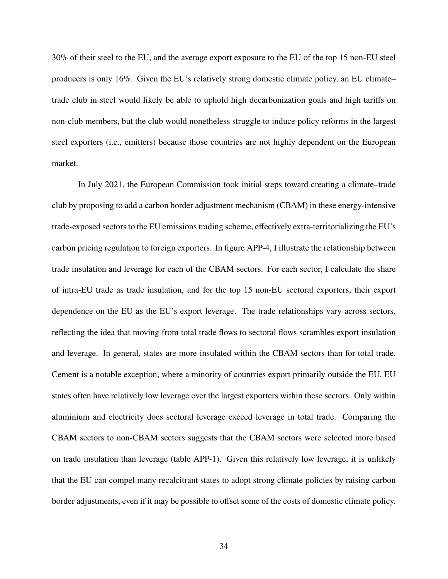30% of their steel to the EU, and the average export exposure to the EU of the top 15 non-EU steel producers is only 16%. Given the EU's relatively strong domestic climate policy, an EU climate– trade club in steel would likely be able to uphold high decarbonization goals and high tariffs on non-club members, but the club would nonetheless struggle to induce policy reforms in the largest steel exporters (i.e., emitters) because those countries are not highly dependent on the European market.

In July 2021, the European Commission took initial steps toward creating a climate–trade club by proposing to add a carbon border adjustment mechanism (CBAM) in these energy-intensive trade-exposed sectors to the EU emissions trading scheme, effectively extra-territorializing the EU's carbon pricing regulation to foreign exporters. In figure [APP-4,](#page-27-0) I illustrate the relationship between trade insulation and leverage for each of the CBAM sectors. For each sector, I calculate the share of intra-EU trade as trade insulation, and for the top 15 non-EU sectoral exporters, their export dependence on the EU as the EU's export leverage. The trade relationships vary across sectors, reflecting the idea that moving from total trade flows to sectoral flows scrambles export insulation and leverage. In general, states are more insulated within the CBAM sectors than for total trade. Cement is a notable exception, where a minority of countries export primarily outside the EU. EU states often have relatively low leverage over the largest exporters within these sectors. Only within aluminium and electricity does sectoral leverage exceed leverage in total trade. Comparing the CBAM sectors to non-CBAM sectors suggests that the CBAM sectors were selected more based on trade insulation than leverage (table [APP-1\)](#page-48-0). Given this relatively low leverage, it is unlikely that the EU can compel many recalcitrant states to adopt strong climate policies by raising carbon border adjustments, even if it may be possible to offset some of the costs of domestic climate policy.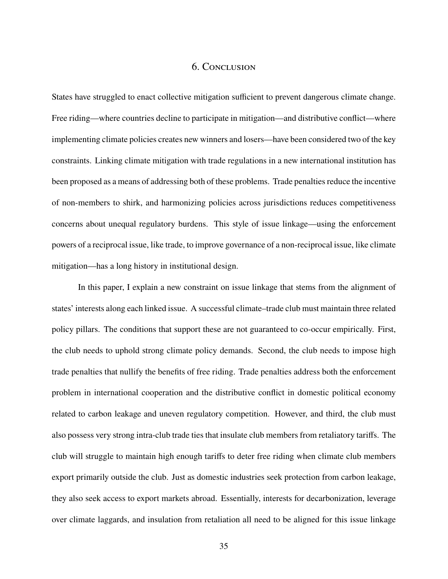## 6. Conclusion

<span id="page-34-0"></span>States have struggled to enact collective mitigation sufficient to prevent dangerous climate change. Free riding—where countries decline to participate in mitigation—and distributive conflict—where implementing climate policies creates new winners and losers—have been considered two of the key constraints. Linking climate mitigation with trade regulations in a new international institution has been proposed as a means of addressing both of these problems. Trade penalties reduce the incentive of non-members to shirk, and harmonizing policies across jurisdictions reduces competitiveness concerns about unequal regulatory burdens. This style of issue linkage—using the enforcement powers of a reciprocal issue, like trade, to improve governance of a non-reciprocal issue, like climate mitigation—has a long history in institutional design.

In this paper, I explain a new constraint on issue linkage that stems from the alignment of states' interests along each linked issue. A successful climate–trade club must maintain three related policy pillars. The conditions that support these are not guaranteed to co-occur empirically. First, the club needs to uphold strong climate policy demands. Second, the club needs to impose high trade penalties that nullify the benefits of free riding. Trade penalties address both the enforcement problem in international cooperation and the distributive conflict in domestic political economy related to carbon leakage and uneven regulatory competition. However, and third, the club must also possess very strong intra-club trade ties that insulate club members from retaliatory tariffs. The club will struggle to maintain high enough tariffs to deter free riding when climate club members export primarily outside the club. Just as domestic industries seek protection from carbon leakage, they also seek access to export markets abroad. Essentially, interests for decarbonization, leverage over climate laggards, and insulation from retaliation all need to be aligned for this issue linkage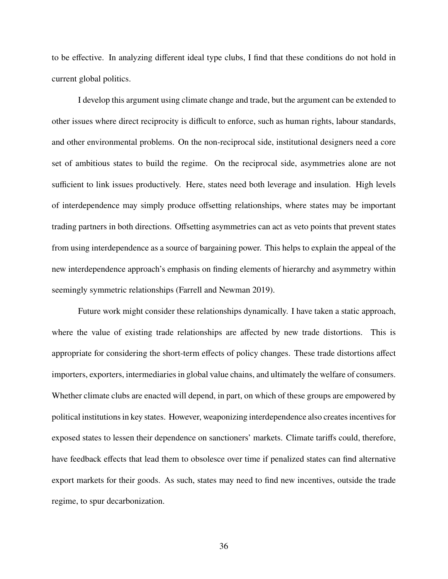to be effective. In analyzing different ideal type clubs, I find that these conditions do not hold in current global politics.

I develop this argument using climate change and trade, but the argument can be extended to other issues where direct reciprocity is difficult to enforce, such as human rights, labour standards, and other environmental problems. On the non-reciprocal side, institutional designers need a core set of ambitious states to build the regime. On the reciprocal side, asymmetries alone are not sufficient to link issues productively. Here, states need both leverage and insulation. High levels of interdependence may simply produce offsetting relationships, where states may be important trading partners in both directions. Offsetting asymmetries can act as veto points that prevent states from using interdependence as a source of bargaining power. This helps to explain the appeal of the new interdependence approach's emphasis on finding elements of hierarchy and asymmetry within seemingly symmetric relationships (Farrell and Newman [2019\)](#page-37-6).

Future work might consider these relationships dynamically. I have taken a static approach, where the value of existing trade relationships are affected by new trade distortions. This is appropriate for considering the short-term effects of policy changes. These trade distortions affect importers, exporters, intermediaries in global value chains, and ultimately the welfare of consumers. Whether climate clubs are enacted will depend, in part, on which of these groups are empowered by political institutions in key states. However, weaponizing interdependence also creates incentives for exposed states to lessen their dependence on sanctioners' markets. Climate tariffs could, therefore, have feedback effects that lead them to obsolesce over time if penalized states can find alternative export markets for their goods. As such, states may need to find new incentives, outside the trade regime, to spur decarbonization.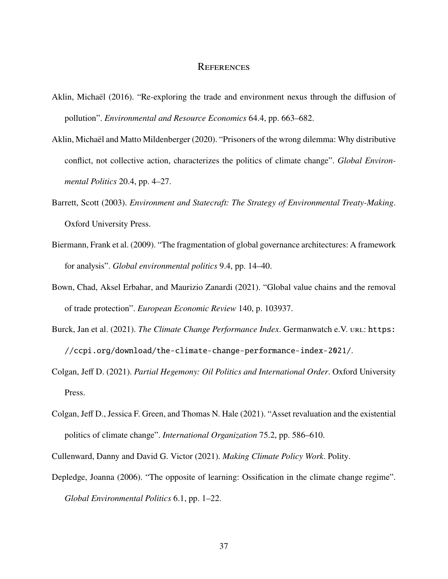#### **REFERENCES**

- <span id="page-36-3"></span>Aklin, Michaël (2016). "Re-exploring the trade and environment nexus through the diffusion of pollution". *Environmental and Resource Economics* 64.4, pp. 663–682.
- <span id="page-36-1"></span>Aklin, Michaël and Matto Mildenberger (2020). "Prisoners of the wrong dilemma: Why distributive conflict, not collective action, characterizes the politics of climate change". *Global Environmental Politics* 20.4, pp. 4–27.
- <span id="page-36-4"></span>Barrett, Scott (2003). *Environment and Statecraft: The Strategy of Environmental Treaty-Making*. Oxford University Press.
- <span id="page-36-6"></span>Biermann, Frank et al. (2009). "The fragmentation of global governance architectures: A framework for analysis". *Global environmental politics* 9.4, pp. 14–40.
- <span id="page-36-8"></span>Bown, Chad, Aksel Erbahar, and Maurizio Zanardi (2021). "Global value chains and the removal of trade protection". *European Economic Review* 140, p. 103937.
- <span id="page-36-9"></span>Burck, Jan et al. (2021). *The Climate Change Performance Index*. Germanwatch e.V. URL: [https:](https://ccpi.org/download/the-climate-change-performance-index-2021/) [//ccpi.org/download/the-climate-change-performance-index-2021/](https://ccpi.org/download/the-climate-change-performance-index-2021/).
- <span id="page-36-0"></span>Colgan, Jeff D. (2021). *Partial Hegemony: Oil Politics and International Order*. Oxford University Press.
- <span id="page-36-2"></span>Colgan, Jeff D., Jessica F. Green, and Thomas N. Hale (2021). "Asset revaluation and the existential politics of climate change". *International Organization* 75.2, pp. 586–610.

<span id="page-36-7"></span><span id="page-36-5"></span>Cullenward, Danny and David G. Victor (2021). *Making Climate Policy Work*. Polity.

Depledge, Joanna (2006). "The opposite of learning: Ossification in the climate change regime". *Global Environmental Politics* 6.1, pp. 1–22.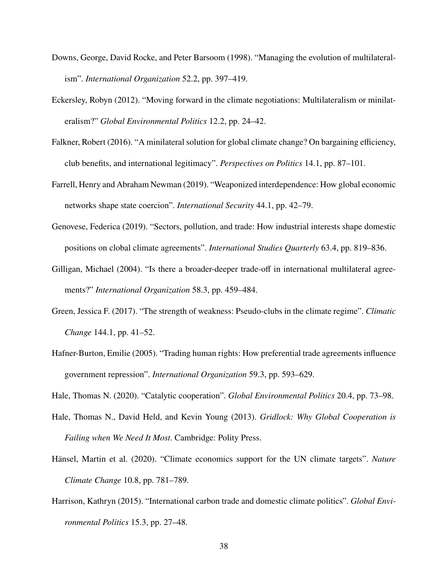- <span id="page-37-8"></span>Downs, George, David Rocke, and Peter Barsoom (1998). "Managing the evolution of multilateralism". *International Organization* 52.2, pp. 397–419.
- <span id="page-37-1"></span>Eckersley, Robyn (2012). "Moving forward in the climate negotiations: Multilateralism or minilateralism?" *Global Environmental Politics* 12.2, pp. 24–42.
- <span id="page-37-2"></span>Falkner, Robert (2016). "A minilateral solution for global climate change? On bargaining efficiency, club benefits, and international legitimacy". *Perspectives on Politics* 14.1, pp. 87–101.
- <span id="page-37-6"></span>Farrell, Henry and Abraham Newman (2019). "Weaponized interdependence: How global economic networks shape state coercion". *International Security* 44.1, pp. 42–79.
- <span id="page-37-4"></span>Genovese, Federica (2019). "Sectors, pollution, and trade: How industrial interests shape domestic positions on clobal climate agreements". *International Studies Quarterly* 63.4, pp. 819–836.
- <span id="page-37-9"></span>Gilligan, Michael (2004). "Is there a broader-deeper trade-off in international multilateral agreements?" *International Organization* 58.3, pp. 459–484.
- <span id="page-37-3"></span>Green, Jessica F. (2017). "The strength of weakness: Pseudo-clubs in the climate regime". *Climatic Change* 144.1, pp. 41–52.
- <span id="page-37-0"></span>Hafner-Burton, Emilie (2005). "Trading human rights: How preferential trade agreements influence government repression". *International Organization* 59.3, pp. 593–629.

<span id="page-37-10"></span><span id="page-37-7"></span>Hale, Thomas N. (2020). "Catalytic cooperation". *Global Environmental Politics* 20.4, pp. 73–98.

- Hale, Thomas N., David Held, and Kevin Young (2013). *Gridlock: Why Global Cooperation is Failing when We Need It Most*. Cambridge: Polity Press.
- <span id="page-37-11"></span>Hänsel, Martin et al. (2020). "Climate economics support for the UN climate targets". *Nature Climate Change* 10.8, pp. 781–789.
- <span id="page-37-5"></span>Harrison, Kathryn (2015). "International carbon trade and domestic climate politics". *Global Environmental Politics* 15.3, pp. 27–48.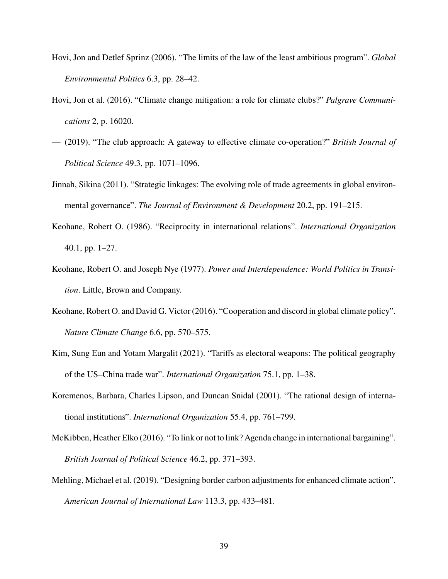- <span id="page-38-10"></span>Hovi, Jon and Detlef Sprinz (2006). "The limits of the law of the least ambitious program". *Global Environmental Politics* 6.3, pp. 28–42.
- <span id="page-38-5"></span>Hovi, Jon et al. (2016). "Climate change mitigation: a role for climate clubs?" *Palgrave Communications* 2, p. 16020.
- <span id="page-38-4"></span>— (2019). "The club approach: A gateway to effective climate co-operation?" *British Journal of Political Science* 49.3, pp. 1071–1096.
- <span id="page-38-3"></span>Jinnah, Sikina (2011). "Strategic linkages: The evolving role of trade agreements in global environmental governance". *The Journal of Environment & Development* 20.2, pp. 191–215.
- <span id="page-38-0"></span>Keohane, Robert O. (1986). "Reciprocity in international relations". *International Organization* 40.1, pp. 1–27.
- <span id="page-38-8"></span>Keohane, Robert O. and Joseph Nye (1977). *Power and Interdependence: World Politics in Transition*. Little, Brown and Company.
- <span id="page-38-9"></span>Keohane, Robert O. and David G. Victor (2016). "Cooperation and discord in global climate policy". *Nature Climate Change* 6.6, pp. 570–575.
- <span id="page-38-6"></span>Kim, Sung Eun and Yotam Margalit (2021). "Tariffs as electoral weapons: The political geography of the US–China trade war". *International Organization* 75.1, pp. 1–38.
- <span id="page-38-2"></span>Koremenos, Barbara, Charles Lipson, and Duncan Snidal (2001). "The rational design of international institutions". *International Organization* 55.4, pp. 761–799.
- <span id="page-38-1"></span>McKibben, Heather Elko (2016). "To link or not to link? Agenda change in international bargaining". *British Journal of Political Science* 46.2, pp. 371–393.
- <span id="page-38-7"></span>Mehling, Michael et al. (2019). "Designing border carbon adjustments for enhanced climate action". *American Journal of International Law* 113.3, pp. 433–481.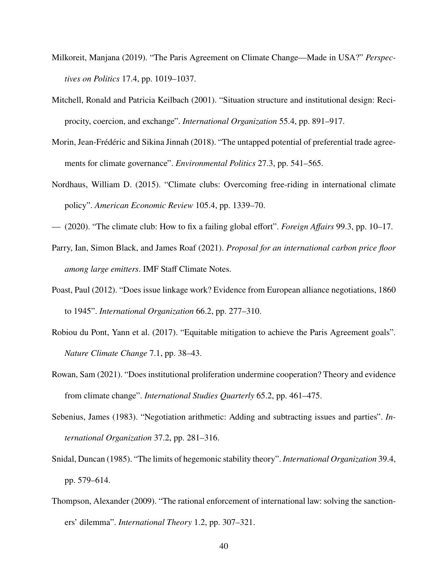- <span id="page-39-8"></span>Milkoreit, Manjana (2019). "The Paris Agreement on Climate Change—Made in USA?" *Perspectives on Politics* 17.4, pp. 1019–1037.
- <span id="page-39-0"></span>Mitchell, Ronald and Patricia Keilbach (2001). "Situation structure and institutional design: Reciprocity, coercion, and exchange". *International Organization* 55.4, pp. 891–917.
- <span id="page-39-5"></span>Morin, Jean-Frédéric and Sikina Jinnah (2018). "The untapped potential of preferential trade agreements for climate governance". *Environmental Politics* 27.3, pp. 541–565.
- <span id="page-39-3"></span>Nordhaus, William D. (2015). "Climate clubs: Overcoming free-riding in international climate policy". *American Economic Review* 105.4, pp. 1339–70.
- <span id="page-39-10"></span><span id="page-39-6"></span>— (2020). "The climate club: How to fix a failing global effort". *Foreign Affairs* 99.3, pp. 10–17.
- Parry, Ian, Simon Black, and James Roaf (2021). *Proposal for an international carbon price floor among large emitters*. IMF Staff Climate Notes.
- <span id="page-39-2"></span>Poast, Paul (2012). "Does issue linkage work? Evidence from European alliance negotiations, 1860 to 1945". *International Organization* 66.2, pp. 277–310.
- <span id="page-39-11"></span>Robiou du Pont, Yann et al. (2017). "Equitable mitigation to achieve the Paris Agreement goals". *Nature Climate Change* 7.1, pp. 38–43.
- <span id="page-39-4"></span>Rowan, Sam (2021). "Does institutional proliferation undermine cooperation? Theory and evidence from climate change". *International Studies Quarterly* 65.2, pp. 461–475.
- <span id="page-39-1"></span>Sebenius, James (1983). "Negotiation arithmetic: Adding and subtracting issues and parties". *International Organization* 37.2, pp. 281–316.
- <span id="page-39-7"></span>Snidal, Duncan (1985). "The limits of hegemonic stability theory". *International Organization* 39.4, pp. 579–614.
- <span id="page-39-9"></span>Thompson, Alexander (2009). "The rational enforcement of international law: solving the sanctioners' dilemma". *International Theory* 1.2, pp. 307–321.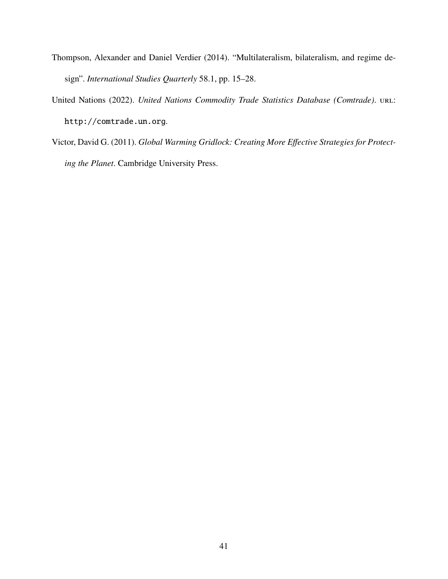- <span id="page-40-1"></span>Thompson, Alexander and Daniel Verdier (2014). "Multilateralism, bilateralism, and regime design". *International Studies Quarterly* 58.1, pp. 15–28.
- <span id="page-40-2"></span>United Nations (2022). *United Nations Commodity Trade Statistics Database (Comtrade)*. URL: <http://comtrade.un.org>.
- <span id="page-40-0"></span>Victor, David G. (2011). *Global Warming Gridlock: Creating More Effective Strategies for Protecting the Planet*. Cambridge University Press.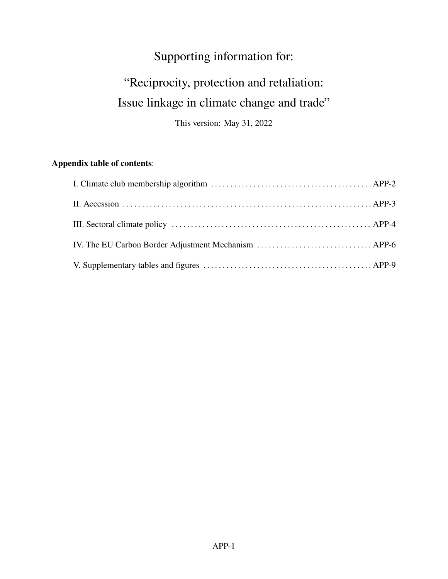# Supporting information for:

# "Reciprocity, protection and retaliation: Issue linkage in climate change and trade"

This version: May 31, 2022

## **Appendix table of contents**:

| IV. The EU Carbon Border Adjustment Mechanism  APP-6 |  |
|------------------------------------------------------|--|
|                                                      |  |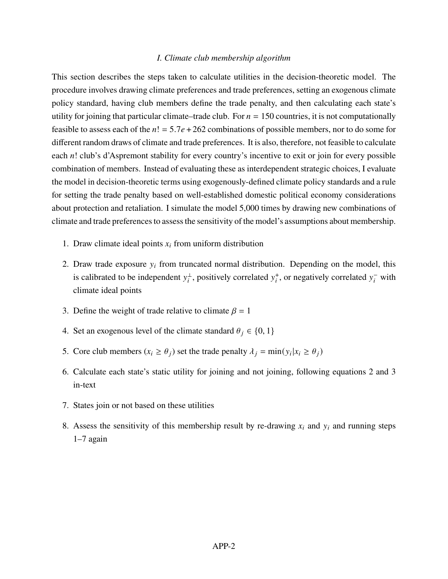#### *I. Climate club membership algorithm*

This section describes the steps taken to calculate utilities in the decision-theoretic model. The procedure involves drawing climate preferences and trade preferences, setting an exogenous climate policy standard, having club members define the trade penalty, and then calculating each state's utility for joining that particular climate–trade club. For  $n = 150$  countries, it is not computationally feasible to assess each of the  $n! = 5.7e + 262$  combinations of possible members, nor to do some for different random draws of climate and trade preferences. It is also, therefore, not feasible to calculate each  $n!$  club's d'Aspremont stability for every country's incentive to exit or join for every possible combination of members. Instead of evaluating these as interdependent strategic choices, I evaluate the model in decision-theoretic terms using exogenously-defined climate policy standards and a rule for setting the trade penalty based on well-established domestic political economy considerations about protection and retaliation. I simulate the model 5,000 times by drawing new combinations of climate and trade preferences to assess the sensitivity of the model's assumptions about membership.

- 1. Draw climate ideal points  $x_i$  from uniform distribution
- 2. Draw trade exposure  $y_i$  from truncated normal distribution. Depending on the model, this is calibrated to be independent  $y_i^{\perp}$ , positively correlated  $y_i^+$ , or negatively correlated  $y_i^-$  with climate ideal points
- 3. Define the weight of trade relative to climate  $\beta = 1$
- 4. Set an exogenous level of the climate standard  $\theta_i \in \{0, 1\}$
- 5. Core club members  $(x_i \ge \theta_i)$  set the trade penalty  $\lambda_i = \min(y_i | x_i \ge \theta_i)$
- 6. Calculate each state's static utility for joining and not joining, following equations 2 and 3 in-text
- 7. States join or not based on these utilities
- 8. Assess the sensitivity of this membership result by re-drawing  $x_i$  and  $y_i$  and running steps 1–7 again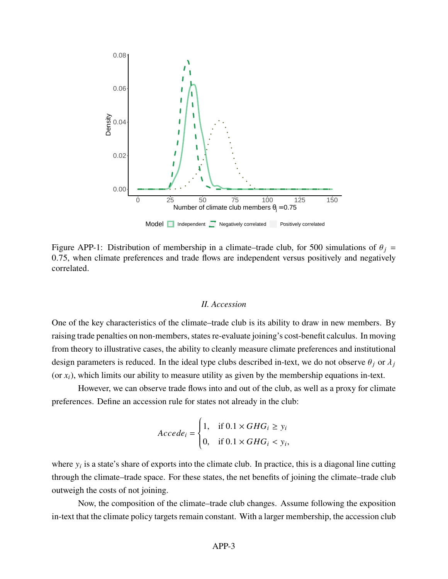

Figure APP-1: Distribution of membership in a climate–trade club, for 500 simulations of  $\theta_j$  = 0.75, when climate preferences and trade flows are independent versus positively and negatively correlated.

#### *II. Accession*

One of the key characteristics of the climate–trade club is its ability to draw in new members. By raising trade penalties on non-members, states re-evaluate joining's cost-benefit calculus. In moving from theory to illustrative cases, the ability to cleanly measure climate preferences and institutional design parameters is reduced. In the ideal type clubs described in-text, we do not observe  $\theta_i$  or  $\lambda_i$ (or  $x_i$ ), which limits our ability to measure utility as given by the membership equations in-text.

However, we can observe trade flows into and out of the club, as well as a proxy for climate preferences. Define an accession rule for states not already in the club:

$$
Acceptede_i = \begin{cases} 1, & \text{if } 0.1 \times GHG_i \ge y_i \\ 0, & \text{if } 0.1 \times GHG_i < y_i, \end{cases}
$$

J.

where  $y_i$  is a state's share of exports into the climate club. In practice, this is a diagonal line cutting through the climate–trade space. For these states, the net benefits of joining the climate–trade club outweigh the costs of not joining.

Now, the composition of the climate–trade club changes. Assume following the exposition in-text that the climate policy targets remain constant. With a larger membership, the accession club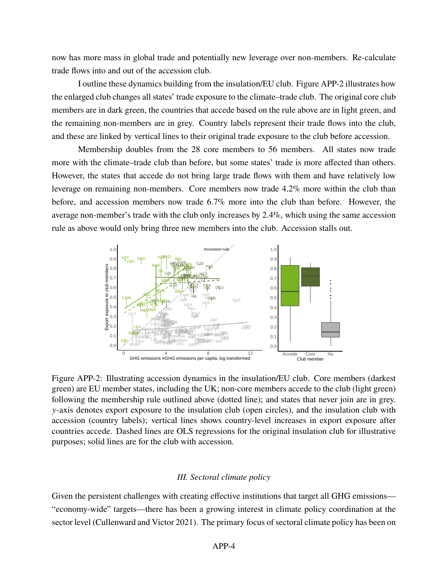now has more mass in global trade and potentially new leverage over non-members. Re-calculate trade flows into and out of the accession club.

I outline these dynamics building from the insulation/EU club. Figure [APP-2](#page-20-0) illustrates how the enlarged club changes all states' trade exposure to the climate–trade club. The original core club members are in dark green, the countries that accede based on the rule above are in light green, and the remaining non-members are in grey. Country labels represent their trade flows into the club, and these are linked by vertical lines to their original trade exposure to the club before accession.

Membership doubles from the 28 core members to 56 members. All states now trade more with the climate–trade club than before, but some states' trade is more affected than others. However, the states that accede do not bring large trade flows with them and have relatively low leverage on remaining non-members. Core members now trade 4.2% more within the club than before, and accession members now trade 6.7% more into the club than before. However, the average non-member's trade with the club only increases by 2.4%, which using the same accession rule as above would only bring three new members into the club. Accession stalls out.



Figure APP-2: Illustrating accession dynamics in the insulation/EU club. Core members (darkest green) are EU member states, including the UK; non-core members accede to the club (light green) following the membership rule outlined above (dotted line); and states that never join are in grey. -axis denotes export exposure to the insulation club (open circles), and the insulation club with accession (country labels); vertical lines shows country-level increases in export exposure after countries accede. Dashed lines are OLS regressions for the original insulation club for illustrative purposes; solid lines are for the club with accession.

#### *III. Sectoral climate policy*

Given the persistent challenges with creating effective institutions that target all GHG emissions— "economy-wide" targets—there has been a growing interest in climate policy coordination at the sector level (Cullenward and Victor [2021\)](#page-36-7). The primary focus of sectoral climate policy has been on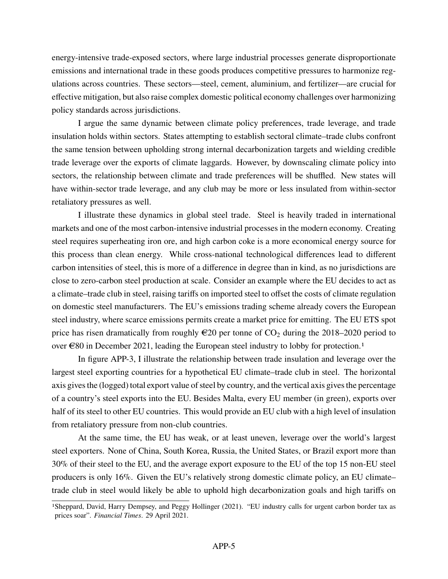energy-intensive trade-exposed sectors, where large industrial processes generate disproportionate emissions and international trade in these goods produces competitive pressures to harmonize regulations across countries. These sectors—steel, cement, aluminium, and fertilizer—are crucial for effective mitigation, but also raise complex domestic political economy challenges over harmonizing policy standards across jurisdictions.

I argue the same dynamic between climate policy preferences, trade leverage, and trade insulation holds within sectors. States attempting to establish sectoral climate–trade clubs confront the same tension between upholding strong internal decarbonization targets and wielding credible trade leverage over the exports of climate laggards. However, by downscaling climate policy into sectors, the relationship between climate and trade preferences will be shuffled. New states will have within-sector trade leverage, and any club may be more or less insulated from within-sector retaliatory pressures as well.

I illustrate these dynamics in global steel trade. Steel is heavily traded in international markets and one of the most carbon-intensive industrial processes in the modern economy. Creating steel requires superheating iron ore, and high carbon coke is a more economical energy source for this process than clean energy. While cross-national technological differences lead to different carbon intensities of steel, this is more of a difference in degree than in kind, as no jurisdictions are close to zero-carbon steel production at scale. Consider an example where the EU decides to act as a climate–trade club in steel, raising tariffs on imported steel to offset the costs of climate regulation on domestic steel manufacturers. The EU's emissions trading scheme already covers the European steel industry, where scarce emissions permits create a market price for emitting. The EU ETS spot price has risen dramatically from roughly  $\epsilon$ 20 per tonne of CO<sub>2</sub> during the 2018–2020 period to over  $\epsilon$ 80 in December 202[1](#page-45-0), leading the European steel industry to lobby for protection.<sup>1</sup>

In figure [APP-3,](#page-23-0) I illustrate the relationship between trade insulation and leverage over the largest steel exporting countries for a hypothetical EU climate–trade club in steel. The horizontal axis gives the (logged) total export value of steel by country, and the vertical axis gives the percentage of a country's steel exports into the EU. Besides Malta, every EU member (in green), exports over half of its steel to other EU countries. This would provide an EU club with a high level of insulation from retaliatory pressure from non-club countries.

At the same time, the EU has weak, or at least uneven, leverage over the world's largest steel exporters. None of China, South Korea, Russia, the United States, or Brazil export more than 30% of their steel to the EU, and the average export exposure to the EU of the top 15 non-EU steel producers is only 16%. Given the EU's relatively strong domestic climate policy, an EU climate– trade club in steel would likely be able to uphold high decarbonization goals and high tariffs on

<span id="page-45-0"></span><sup>1</sup>Sheppard, David, Harry Dempsey, and Peggy Hollinger (2021). "EU industry calls for urgent carbon border tax as prices soar". *Financial Times*. 29 April 2021.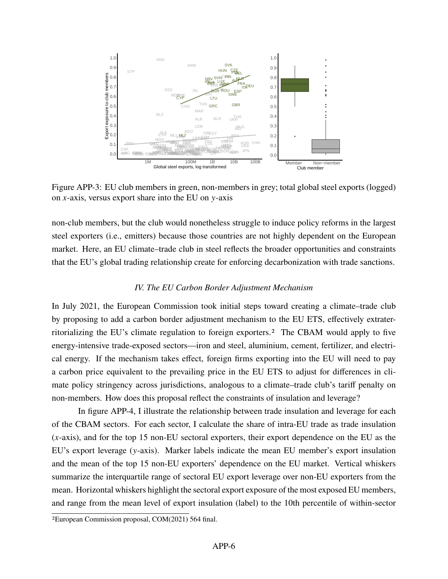

Figure APP-3: EU club members in green, non-members in grey; total global steel exports (logged) on  $x$ -axis, versus export share into the EU on  $y$ -axis

non-club members, but the club would nonetheless struggle to induce policy reforms in the largest steel exporters (i.e., emitters) because those countries are not highly dependent on the European market. Here, an EU climate–trade club in steel reflects the broader opportunities and constraints that the EU's global trading relationship create for enforcing decarbonization with trade sanctions.

#### *IV. The EU Carbon Border Adjustment Mechanism*

In July 2021, the European Commission took initial steps toward creating a climate–trade club by proposing to add a carbon border adjustment mechanism to the EU ETS, effectively extraterritorializing the EU's climate regulation to foreign exporters.[2](#page-46-0) The CBAM would apply to five energy-intensive trade-exposed sectors—iron and steel, aluminium, cement, fertilizer, and electrical energy. If the mechanism takes effect, foreign firms exporting into the EU will need to pay a carbon price equivalent to the prevailing price in the EU ETS to adjust for differences in climate policy stringency across jurisdictions, analogous to a climate–trade club's tariff penalty on non-members. How does this proposal reflect the constraints of insulation and leverage?

In figure [APP-4,](#page-27-0) I illustrate the relationship between trade insulation and leverage for each of the CBAM sectors. For each sector, I calculate the share of intra-EU trade as trade insulation  $(x-axis)$ , and for the top 15 non-EU sectoral exporters, their export dependence on the EU as the EU's export leverage ( $y$ -axis). Marker labels indicate the mean EU member's export insulation and the mean of the top 15 non-EU exporters' dependence on the EU market. Vertical whiskers summarize the interquartile range of sectoral EU export leverage over non-EU exporters from the mean. Horizontal whiskers highlight the sectoral export exposure of the most exposed EU members, and range from the mean level of export insulation (label) to the 10th percentile of within-sector

<span id="page-46-0"></span><sup>2</sup>European Commission proposal, COM(2021) 564 final.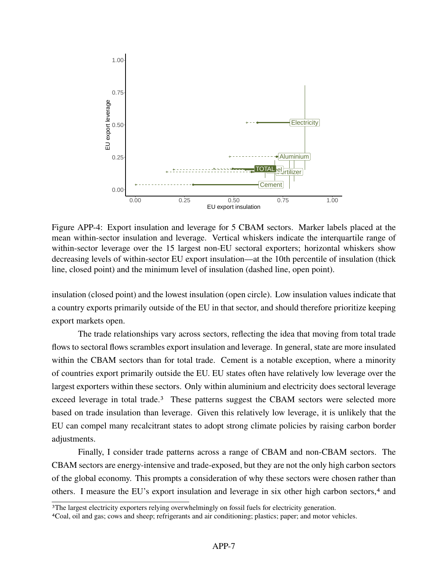

Figure APP-4: Export insulation and leverage for 5 CBAM sectors. Marker labels placed at the mean within-sector insulation and leverage. Vertical whiskers indicate the interquartile range of within-sector leverage over the 15 largest non-EU sectoral exporters; horizontal whiskers show decreasing levels of within-sector EU export insulation—at the 10th percentile of insulation (thick line, closed point) and the minimum level of insulation (dashed line, open point).

insulation (closed point) and the lowest insulation (open circle). Low insulation values indicate that a country exports primarily outside of the EU in that sector, and should therefore prioritize keeping export markets open.

The trade relationships vary across sectors, reflecting the idea that moving from total trade flows to sectoral flows scrambles export insulation and leverage. In general, state are more insulated within the CBAM sectors than for total trade. Cement is a notable exception, where a minority of countries export primarily outside the EU. EU states often have relatively low leverage over the largest exporters within these sectors. Only within aluminium and electricity does sectoral leverage exceed leverage in total trade.<sup>[3](#page-47-0)</sup> These patterns suggest the CBAM sectors were selected more based on trade insulation than leverage. Given this relatively low leverage, it is unlikely that the EU can compel many recalcitrant states to adopt strong climate policies by raising carbon border adjustments.

Finally, I consider trade patterns across a range of CBAM and non-CBAM sectors. The CBAM sectors are energy-intensive and trade-exposed, but they are not the only high carbon sectors of the global economy. This prompts a consideration of why these sectors were chosen rather than others. I measure the EU's export insulation and leverage in six other high carbon sectors,[4](#page-47-1) and

<span id="page-47-0"></span><sup>3</sup>The largest electricity exporters relying overwhelmingly on fossil fuels for electricity generation.

<span id="page-47-1"></span><sup>4</sup>Coal, oil and gas; cows and sheep; refrigerants and air conditioning; plastics; paper; and motor vehicles.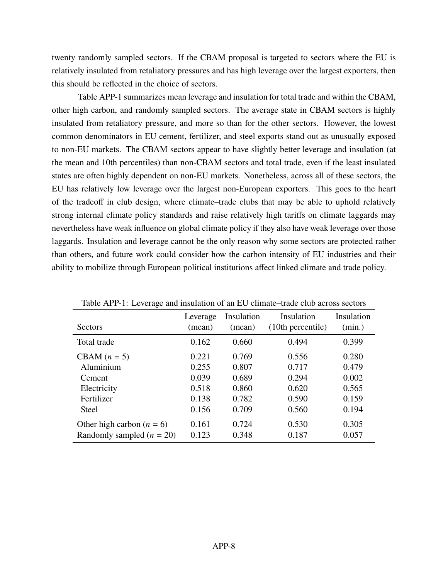twenty randomly sampled sectors. If the CBAM proposal is targeted to sectors where the EU is relatively insulated from retaliatory pressures and has high leverage over the largest exporters, then this should be reflected in the choice of sectors.

Table [APP-1](#page-48-0) summarizes mean leverage and insulation for total trade and within the CBAM, other high carbon, and randomly sampled sectors. The average state in CBAM sectors is highly insulated from retaliatory pressure, and more so than for the other sectors. However, the lowest common denominators in EU cement, fertilizer, and steel exports stand out as unusually exposed to non-EU markets. The CBAM sectors appear to have slightly better leverage and insulation (at the mean and 10th percentiles) than non-CBAM sectors and total trade, even if the least insulated states are often highly dependent on non-EU markets. Nonetheless, across all of these sectors, the EU has relatively low leverage over the largest non-European exporters. This goes to the heart of the tradeoff in club design, where climate–trade clubs that may be able to uphold relatively strong internal climate policy standards and raise relatively high tariffs on climate laggards may nevertheless have weak influence on global climate policy if they also have weak leverage over those laggards. Insulation and leverage cannot be the only reason why some sectors are protected rather than others, and future work could consider how the carbon intensity of EU industries and their ability to mobilize through European political institutions affect linked climate and trade policy.

| Table TVI T T. EGYGTAGG and modiation of an EG Chinate trade club across sectors |                    |                      |                                 |                      |  |  |
|----------------------------------------------------------------------------------|--------------------|----------------------|---------------------------------|----------------------|--|--|
| Sectors                                                                          | Leverage<br>(mean) | Insulation<br>(mean) | Insulation<br>(10th percentile) | Insulation<br>(min.) |  |  |
| Total trade                                                                      | 0.162              | 0.660                | 0.494                           | 0.399                |  |  |
| CBAM $(n = 5)$                                                                   | 0.221              | 0.769                | 0.556                           | 0.280                |  |  |
| Aluminium                                                                        | 0.255              | 0.807                | 0.717                           | 0.479                |  |  |
| Cement                                                                           | 0.039              | 0.689                | 0.294                           | 0.002                |  |  |
| Electricity                                                                      | 0.518              | 0.860                | 0.620                           | 0.565                |  |  |
| Fertilizer                                                                       | 0.138              | 0.782                | 0.590                           | 0.159                |  |  |
| <b>Steel</b>                                                                     | 0.156              | 0.709                | 0.560                           | 0.194                |  |  |
| Other high carbon $(n = 6)$<br>Randomly sampled $(n = 20)$                       | 0.161<br>0.123     | 0.724<br>0.348       | 0.530<br>0.187                  | 0.305<br>0.057       |  |  |

<span id="page-48-0"></span>Table  $APP_1: I$  everage and insulation of an EU climate–trade club across sectors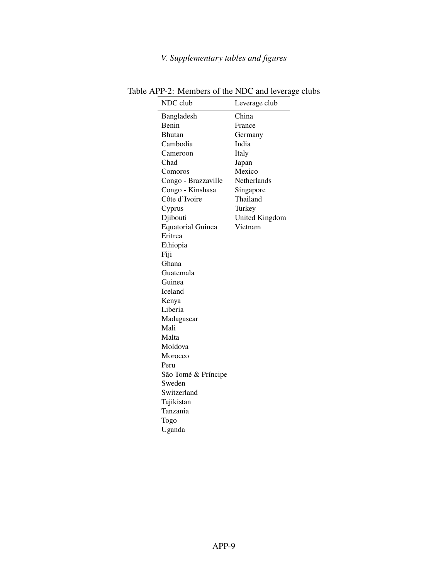# *V. Supplementary tables and figures*

<span id="page-49-0"></span>

| NDC club                 | Leverage club  |
|--------------------------|----------------|
| Bangladesh               | China          |
| Benin                    | France         |
| <b>Bhutan</b>            | Germany        |
| Cambodia                 | India          |
| Cameroon                 | Italy          |
| Chad                     | Japan          |
| Comoros                  | Mexico         |
| Congo - Brazzaville      | Netherlands    |
| Congo - Kinshasa         | Singapore      |
| Côte d'Ivoire            | Thailand       |
| Cyprus                   | Turkey         |
| Djibouti                 | United Kingdom |
| <b>Equatorial Guinea</b> | Vietnam        |
| Eritrea                  |                |
| Ethiopia                 |                |
| Fiji                     |                |
| Ghana                    |                |
| Guatemala                |                |
| Guinea                   |                |
| Iceland                  |                |
| Kenya                    |                |
| Liberia                  |                |
| Madagascar               |                |
| Mali                     |                |
| Malta                    |                |
| Moldova                  |                |
| Morocco                  |                |
| Peru                     |                |
| São Tomé & Príncipe      |                |
| Sweden                   |                |
| Switzerland              |                |
| Tajikistan               |                |
| Tanzania                 |                |
| Togo                     |                |
| Uganda                   |                |
|                          |                |

Table APP-2: Members of the NDC and leverage clubs